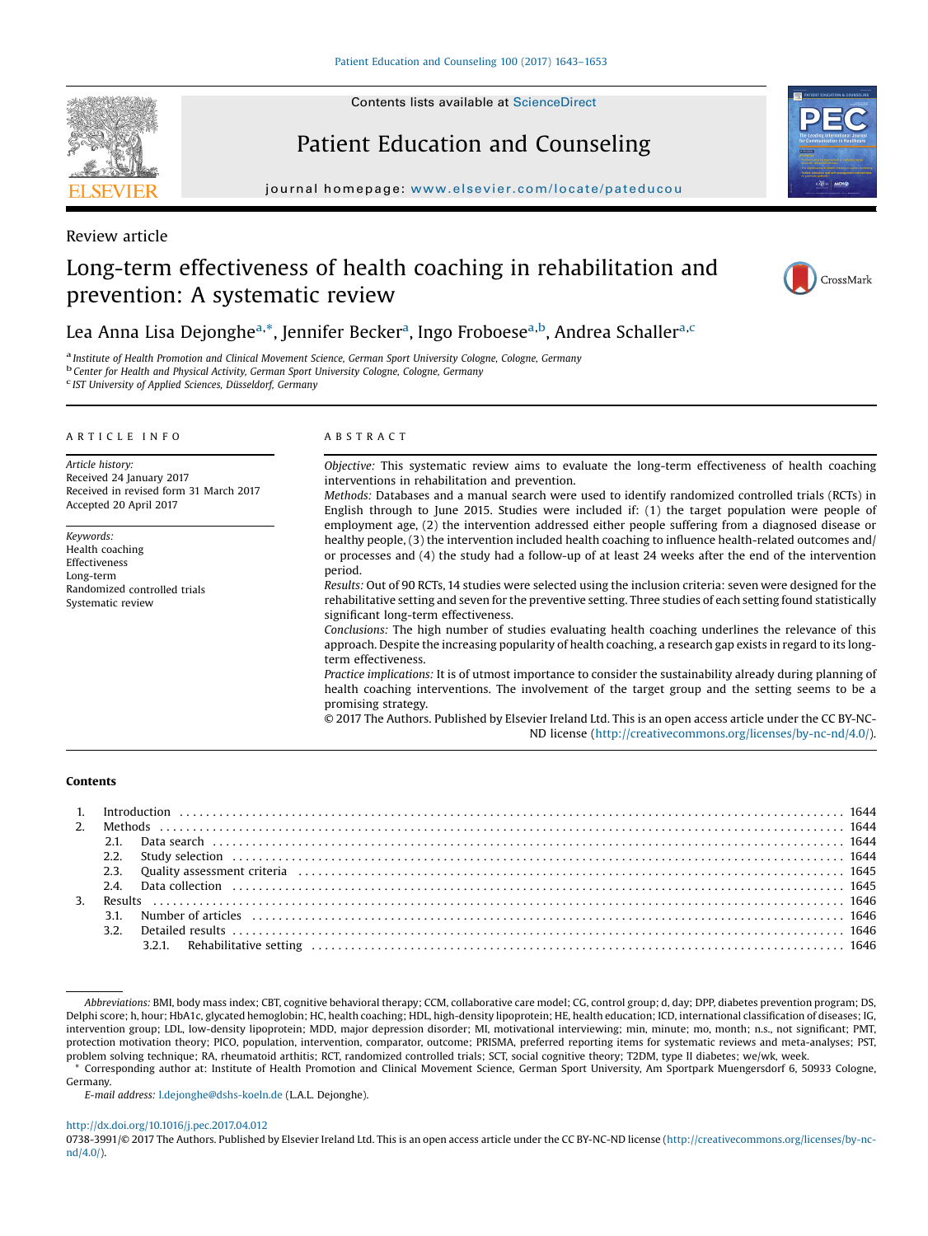Contents lists available at [ScienceDirect](http://www.sciencedirect.com/science/journal/07383991)

# Patient Education and Counseling

journal homepage: <www.elsevier.com/locate/pateducou>

## Review article

## Long-term effectiveness of health coaching in rehabilitation and prevention: A systematic review



## Lea Anna Lisa Dejonghe<sup>a,</sup>\*, Jennifer Becker<sup>a</sup>, Ingo Froboese<sup>a,b</sup>, Andrea Schaller<sup>a,c</sup>

<sup>a</sup> Institute of Health Promotion and Clinical Movement Science, German Sport University Cologne, Cologne, Germany<br><sup>b</sup> Center for Health and Physical Activity, German Sport University Cologne, Cologne, Germany

<sup>c</sup> IST University of Applied Sciences, Düsseldorf, Germany

## A R T I C L E I N F O

Article history: Received 24 January 2017 Received in revised form 31 March 2017 Accepted 20 April 2017

Keywords: Health coaching Effectiveness Long-term Randomized controlled trials Systematic review

## A B S T R A C T

Objective: This systematic review aims to evaluate the long-term effectiveness of health coaching interventions in rehabilitation and prevention.

Methods: Databases and a manual search were used to identify randomized controlled trials (RCTs) in English through to June 2015. Studies were included if: (1) the target population were people of employment age, (2) the intervention addressed either people suffering from a diagnosed disease or healthy people, (3) the intervention included health coaching to influence health-related outcomes and/ or processes and (4) the study had a follow-up of at least 24 weeks after the end of the intervention period.

Results: Out of 90 RCTs, 14 studies were selected using the inclusion criteria: seven were designed for the rehabilitative setting and seven for the preventive setting. Three studies of each setting found statistically significant long-term effectiveness.

Conclusions: The high number of studies evaluating health coaching underlines the relevance of this approach. Despite the increasing popularity of health coaching, a research gap exists in regard to its longterm effectiveness.

Practice implications: It is of utmost importance to consider the sustainability already during planning of health coaching interventions. The involvement of the target group and the setting seems to be a promising strategy.

© 2017 The Authors. Published by Elsevier Ireland Ltd. This is an open access article under the CC BY-NC-ND license [\(http://creativecommons.org/licenses/by-nc-nd/4.0/](http://creativecommons.org/licenses/by-nc-nd/4.0/)).

#### Contents

|  | 3.1. Number of articles (all according to the control of the control of the control of the control of the control of the control of the control of the control of the control of the control of the control of the control of |  |
|--|-------------------------------------------------------------------------------------------------------------------------------------------------------------------------------------------------------------------------------|--|
|  |                                                                                                                                                                                                                               |  |
|  |                                                                                                                                                                                                                               |  |

\* Corresponding author at: Institute of Health Promotion and Clinical Movement Science, German Sport University, Am Sportpark Muengersdorf 6, 50933 Cologne, Germany.

E-mail address: [l.dejonghe@dshs-koeln.de](undefined) (L.A.L. Dejonghe).

#### <http://dx.doi.org/10.1016/j.pec.2017.04.012>

0738-3991/© 2017 The Authors. Published by Elsevier Ireland Ltd. This is an open access article under the CC BY-NC-ND license [\(http://creativecommons.org/licenses/by-nc](http://creativecommons.org/licenses/by-nc-nd/4.0/)[nd/4.0/](http://creativecommons.org/licenses/by-nc-nd/4.0/)).



Abbreviations: BMI, body mass index; CBT, cognitive behavioral therapy; CCM, collaborative care model; CG, control group; d, day; DPP, diabetes prevention program; DS, Delphi score; h, hour; HbA1c, glycated hemoglobin; HC, health coaching; HDL, high-density lipoprotein; HE, health education; ICD, international classification of diseases; IG, intervention group; LDL, low-density lipoprotein; MDD, major depression disorder; MI, motivational interviewing; min, minute; mo, month; n.s., not significant; PMT, protection motivation theory; PICO, population, intervention, comparator, outcome; PRISMA, preferred reporting items for systematic reviews and meta-analyses; PST, problem solving technique; RA, rheumatoid arthitis; RCT, randomized controlled trials; SCT, social cognitive theory; T2DM, type II diabetes; we/wk, week.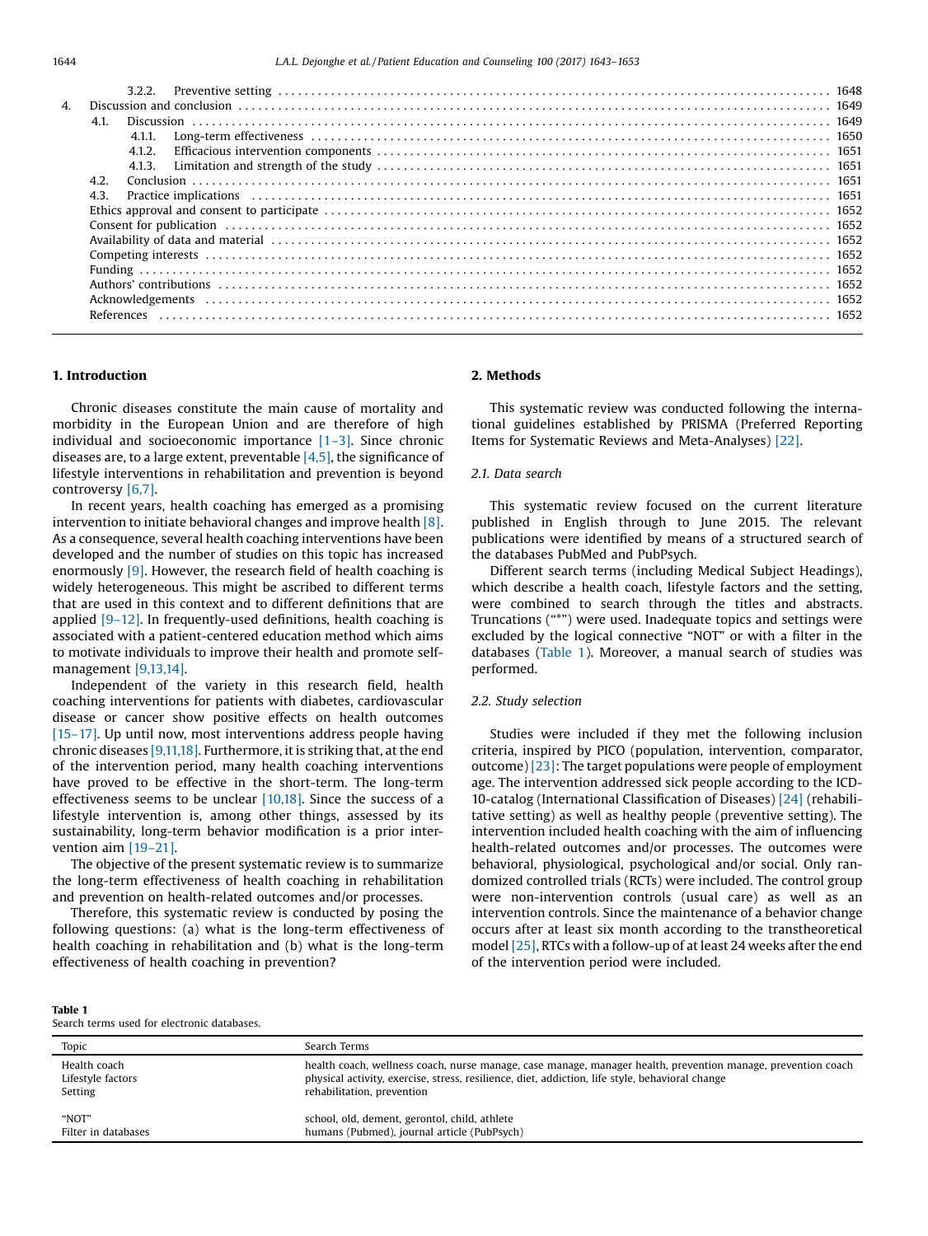| 4. |      |        |                                                                                                                                                                                                                                |  |
|----|------|--------|--------------------------------------------------------------------------------------------------------------------------------------------------------------------------------------------------------------------------------|--|
|    |      |        |                                                                                                                                                                                                                                |  |
|    |      | 4.1.1. |                                                                                                                                                                                                                                |  |
|    |      | 4.1.2. |                                                                                                                                                                                                                                |  |
|    |      |        |                                                                                                                                                                                                                                |  |
|    | 4.2. |        |                                                                                                                                                                                                                                |  |
|    | 4.3. |        | Practice implications (all alternational control and the set of the set of the set of the set of the set of the set of the set of the set of the set of the set of the set of the set of the set of the set of the set of the  |  |
|    |      |        |                                                                                                                                                                                                                                |  |
|    |      |        | Consent for publication (a) and the set of the set of the set of the set of the set of the set of the set of the set of the set of the set of the set of the set of the set of the set of the set of the set of the set of the |  |
|    |      |        |                                                                                                                                                                                                                                |  |
|    |      |        |                                                                                                                                                                                                                                |  |
|    |      |        |                                                                                                                                                                                                                                |  |
|    |      |        | Authors' contributions (and according to the control of the control of the contributions (contributions (and the contributions) and the contributions (contributions) and the control of the control of the control of the con |  |
|    |      |        |                                                                                                                                                                                                                                |  |
|    |      |        |                                                                                                                                                                                                                                |  |
|    |      |        |                                                                                                                                                                                                                                |  |

## 1. Introduction

Chronic diseases constitute the main cause of mortality and morbidity in the European Union and are therefore of high individual and socioeconomic importance  $[1-3]$  $[1-3]$ . Since chronic diseases are, to a large extent, preventable  $[4,5]$ , the significance of lifestyle interventions in rehabilitation and prevention is beyond controversy [\[6,7\]](#page-9-0).

In recent years, health coaching has emerged as a promising intervention to initiate behavioral changes and improve health [\[8\].](#page-9-0) As a consequence, several health coaching interventions have been developed and the number of studies on this topic has increased enormously [\[9\].](#page-9-0) However, the research field of health coaching is widely heterogeneous. This might be ascribed to different terms that are used in this context and to different definitions that are applied [9–[12\].](#page-9-0) In frequently-used definitions, health coaching is associated with a patient-centered education method which aims to motivate individuals to improve their health and promote selfmanagement [\[9,13,14\]](#page-9-0).

Independent of the variety in this research field, health coaching interventions for patients with diabetes, cardiovascular disease or cancer show positive effects on health outcomes [\[15](#page-9-0)–17]. Up until now, most interventions address people having chronic diseases [\[9,11,18\]](#page-9-0). Furthermore, it is striking that, at the end of the intervention period, many health coaching interventions have proved to be effective in the short-term. The long-term effectiveness seems to be unclear  $[10,18]$ . Since the success of a lifestyle intervention is, among other things, assessed by its sustainability, long-term behavior modification is a prior intervention aim [19–[21\].](#page-9-0)

The objective of the present systematic review is to summarize the long-term effectiveness of health coaching in rehabilitation and prevention on health-related outcomes and/or processes.

Therefore, this systematic review is conducted by posing the following questions: (a) what is the long-term effectiveness of health coaching in rehabilitation and (b) what is the long-term effectiveness of health coaching in prevention?

## 2. Methods

This systematic review was conducted following the international guidelines established by PRISMA (Preferred Reporting Items for Systematic Reviews and Meta-Analyses) [\[22\]](#page-9-0).

## 2.1. Data search

This systematic review focused on the current literature published in English through to June 2015. The relevant publications were identified by means of a structured search of the databases PubMed and PubPsych.

Different search terms (including Medical Subject Headings), which describe a health coach, lifestyle factors and the setting, were combined to search through the titles and abstracts. Truncations ("\*") were used. Inadequate topics and settings were excluded by the logical connective "NOT" or with a filter in the databases (Table 1). Moreover, a manual search of studies was performed.

## 2.2. Study selection

Studies were included if they met the following inclusion criteria, inspired by PICO (population, intervention, comparator, outcome) [\[23\]](#page-9-0): The target populations were people of employment age. The intervention addressed sick people according to the ICD-10-catalog (International Classification of Diseases) [\[24\]](#page-9-0) (rehabilitative setting) as well as healthy people (preventive setting). The intervention included health coaching with the aim of influencing health-related outcomes and/or processes. The outcomes were behavioral, physiological, psychological and/or social. Only randomized controlled trials (RCTs) were included. The control group were non-intervention controls (usual care) as well as an intervention controls. Since the maintenance of a behavior change occurs after at least six month according to the transtheoretical model [\[25\]](#page-9-0), RTCs with a follow-up of at least 24 weeks after the end of the intervention period were included.

#### Table 1

terms used for electronic databases

| bearen termis useu for cicetronic uatabases. |                                                                                                              |  |  |  |  |  |
|----------------------------------------------|--------------------------------------------------------------------------------------------------------------|--|--|--|--|--|
| Topic                                        | Search Terms                                                                                                 |  |  |  |  |  |
| Health coach                                 | health coach, wellness coach, nurse manage, case manage, manager health, prevention manage, prevention coach |  |  |  |  |  |
| Lifestyle factors                            | physical activity, exercise, stress, resilience, diet, addiction, life style, behavioral change              |  |  |  |  |  |
| Setting                                      | rehabilitation, prevention                                                                                   |  |  |  |  |  |
| "NOT"                                        | school, old, dement, gerontol, child, athlete                                                                |  |  |  |  |  |
| Filter in databases                          | humans (Pubmed), journal article (PubPsych)                                                                  |  |  |  |  |  |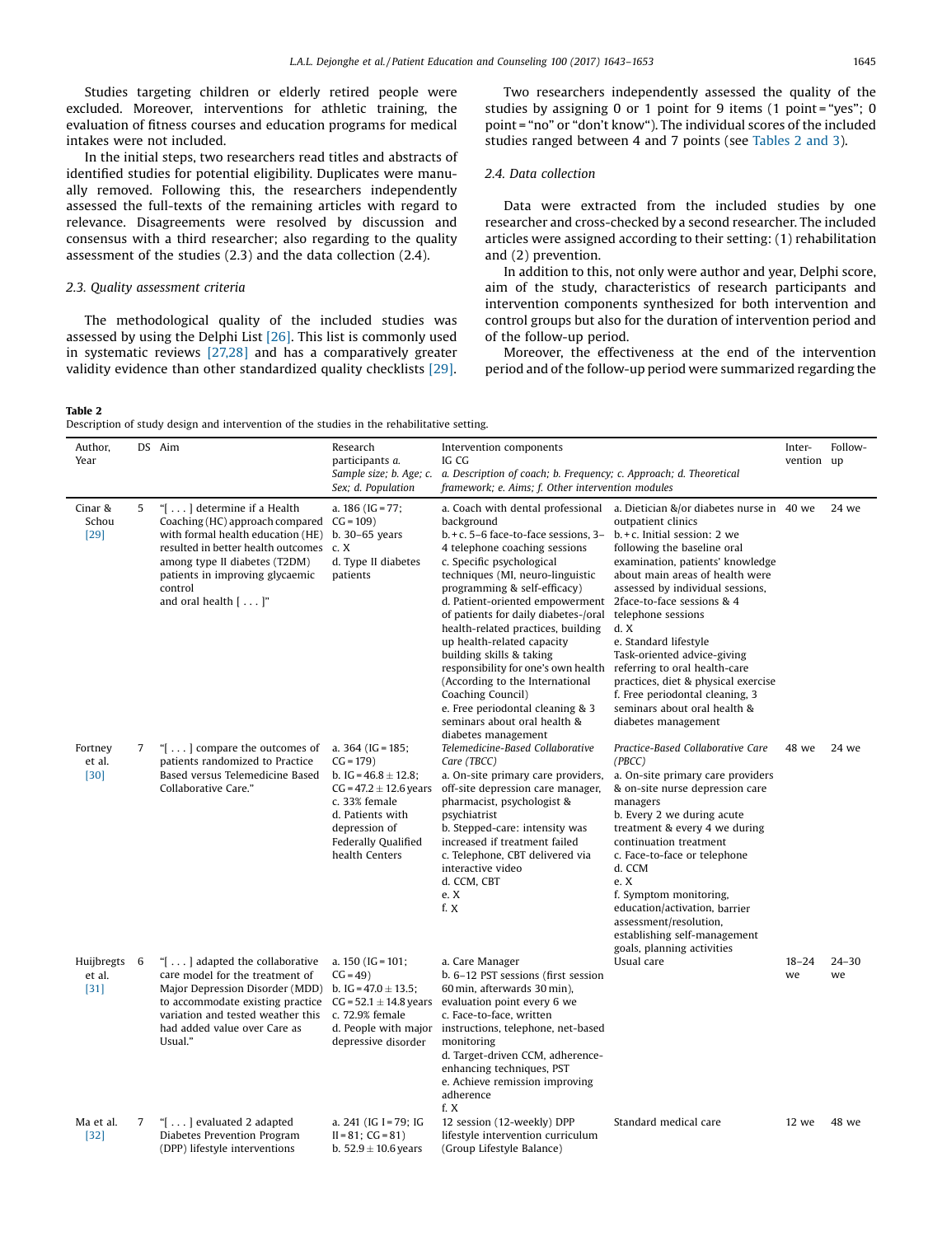<span id="page-2-0"></span>Studies targeting children or elderly retired people were excluded. Moreover, interventions for athletic training, the evaluation of fitness courses and education programs for medical intakes were not included.

In the initial steps, two researchers read titles and abstracts of identified studies for potential eligibility. Duplicates were manually removed. Following this, the researchers independently assessed the full-texts of the remaining articles with regard to relevance. Disagreements were resolved by discussion and consensus with a third researcher; also regarding to the quality assessment of the studies (2.3) and the data collection (2.4).

## 2.3. Quality assessment criteria

The methodological quality of the included studies was assessed by using the Delphi List [\[26\].](#page-9-0) This list is commonly used in systematic reviews [\[27,28\]](#page-9-0) and has a comparatively greater validity evidence than other standardized quality checklists [\[29\]](#page-9-0).

Two researchers independently assessed the quality of the studies by assigning 0 or 1 point for 9 items (1 point = "yes"; 0 point = "no" or "don't know"). The individual scores of the included studies ranged between 4 and 7 points (see Tables 2 and 3).

## 2.4. Data collection

Data were extracted from the included studies by one researcher and cross-checked by a second researcher. The included articles were assigned according to their setting: (1) rehabilitation and (2) prevention.

In addition to this, not only were author and year, Delphi score, aim of the study, characteristics of research participants and intervention components synthesized for both intervention and control groups but also for the duration of intervention period and of the follow-up period.

Moreover, the effectiveness at the end of the intervention period and of the follow-up period were summarized regarding the

## Table 2

Description of study design and intervention of the studies in the rehabilitative setting.

| Author,<br>Year                  |   | DS Aim                                                                                                                                                                                                                                                                       | Research<br>participants a.<br>Sample size; b. Age; c.                                                                                                                                      | Intervention components<br>IG CG<br>a. Description of coach; b. Frequency; c. Approach; d. Theoretical                                                                                                                                                                                                                                                                                                                                                                                                                                                       |                                                                                                                                                                                                                                                                                                                                                                                                                                                                                       | Inter-<br>vention up | Follow-         |
|----------------------------------|---|------------------------------------------------------------------------------------------------------------------------------------------------------------------------------------------------------------------------------------------------------------------------------|---------------------------------------------------------------------------------------------------------------------------------------------------------------------------------------------|--------------------------------------------------------------------------------------------------------------------------------------------------------------------------------------------------------------------------------------------------------------------------------------------------------------------------------------------------------------------------------------------------------------------------------------------------------------------------------------------------------------------------------------------------------------|---------------------------------------------------------------------------------------------------------------------------------------------------------------------------------------------------------------------------------------------------------------------------------------------------------------------------------------------------------------------------------------------------------------------------------------------------------------------------------------|----------------------|-----------------|
| Cinar &                          | 5 | "[] determine if a Health                                                                                                                                                                                                                                                    | Sex; d. Population<br>a. $186$ (IG = 77;                                                                                                                                                    | framework; e. Aims; f. Other intervention modules<br>a. Coach with dental professional                                                                                                                                                                                                                                                                                                                                                                                                                                                                       | a. Dietician &/or diabetes nurse in 40 we                                                                                                                                                                                                                                                                                                                                                                                                                                             |                      | 24 we           |
| Schou<br>$[29]$                  |   | Coaching (HC) approach compared CG = 109)<br>with formal health education (HE)<br>resulted in better health outcomes<br>among type II diabetes (T2DM)<br>patients in improving glycaemic<br>control<br>and oral health $[ \ldots ]$ "                                        | b. 30-65 years<br>c. X<br>d. Type II diabetes<br>patients                                                                                                                                   | background<br>$b. + c. 5-6$ face-to-face sessions, 3-<br>4 telephone coaching sessions<br>c. Specific psychological<br>techniques (MI, neuro-linguistic<br>programming & self-efficacy)<br>d. Patient-oriented empowerment<br>of patients for daily diabetes-/oral<br>health-related practices, building<br>up health-related capacity<br>building skills & taking<br>responsibility for one's own health<br>(According to the International<br>Coaching Council)<br>e. Free periodontal cleaning & 3<br>seminars about oral health &<br>diabetes management | outpatient clinics<br>$b + c$ . Initial session: 2 we<br>following the baseline oral<br>examination, patients' knowledge<br>about main areas of health were<br>assessed by individual sessions,<br>2face-to-face sessions & 4<br>telephone sessions<br>d. X<br>e. Standard lifestyle<br>Task-oriented advice-giving<br>referring to oral health-care<br>practices, diet & physical exercise<br>f. Free periodontal cleaning, 3<br>seminars about oral health &<br>diabetes management |                      |                 |
| Fortney<br>et al.<br>$[30]$      | 7 | " $\left[ \ldots \right]$ compare the outcomes of<br>patients randomized to Practice<br>Based versus Telemedicine Based<br>Collaborative Care."                                                                                                                              | a. $364$ (IG = 185;<br>$CG = 179$<br>b. IG = $46.8 \pm 12.8$ ;<br>$CG = 47.2 \pm 12.6$ years<br>c. 33% female<br>d. Patients with<br>depression of<br>Federally Qualified<br>health Centers | Telemedicine-Based Collaborative<br>Care (TBCC)<br>a. On-site primary care providers,<br>off-site depression care manager,<br>pharmacist, psychologist &<br>psychiatrist<br>b. Stepped-care: intensity was<br>increased if treatment failed<br>c. Telephone, CBT delivered via<br>interactive video<br>d. CCM, CBT<br>e. X<br>f. X                                                                                                                                                                                                                           | Practice-Based Collaborative Care<br>(PBCC)<br>a. On-site primary care providers<br>& on-site nurse depression care<br>managers<br>b. Every 2 we during acute<br>treatment & every 4 we during<br>continuation treatment<br>c. Face-to-face or telephone<br>d. CCM<br>e. X<br>f. Symptom monitoring,<br>education/activation, barrier<br>assessment/resolution,<br>establishing self-management<br>goals, planning activities                                                         | 48 we                | 24 we           |
| Huijbregts 6<br>et al.<br>$[31]$ |   | "[] adapted the collaborative<br>care model for the treatment of<br>Major Depression Disorder (MDD) b. IG = $47.0 \pm 13.5$ ;<br>to accommodate existing practice $CG = 52.1 \pm 14.8$ years<br>variation and tested weather this<br>had added value over Care as<br>Usual." | a. $150$ (IG = 101;<br>$CG = 49)$<br>c. 72.9% female<br>d. People with major<br>depressive disorder                                                                                         | a. Care Manager<br>b. 6-12 PST sessions (first session<br>60 min, afterwards 30 min),<br>evaluation point every 6 we<br>c. Face-to-face, written<br>instructions, telephone, net-based<br>monitoring<br>d. Target-driven CCM, adherence-<br>enhancing techniques, PST<br>e. Achieve remission improving<br>adherence<br>f. X                                                                                                                                                                                                                                 | Usual care                                                                                                                                                                                                                                                                                                                                                                                                                                                                            | $18 - 24$<br>we      | $24 - 30$<br>we |
| Ma et al.<br>$[32]$              | 7 | "[] evaluated 2 adapted<br>Diabetes Prevention Program<br>(DPP) lifestyle interventions                                                                                                                                                                                      | a. 241 (IG I = 79; IG<br>$II = 81$ ; $CG = 81$ )<br>b. $52.9 \pm 10.6$ years                                                                                                                | 12 session (12-weekly) DPP<br>lifestyle intervention curriculum<br>(Group Lifestyle Balance)                                                                                                                                                                                                                                                                                                                                                                                                                                                                 | Standard medical care                                                                                                                                                                                                                                                                                                                                                                                                                                                                 | 12 we                | 48 we           |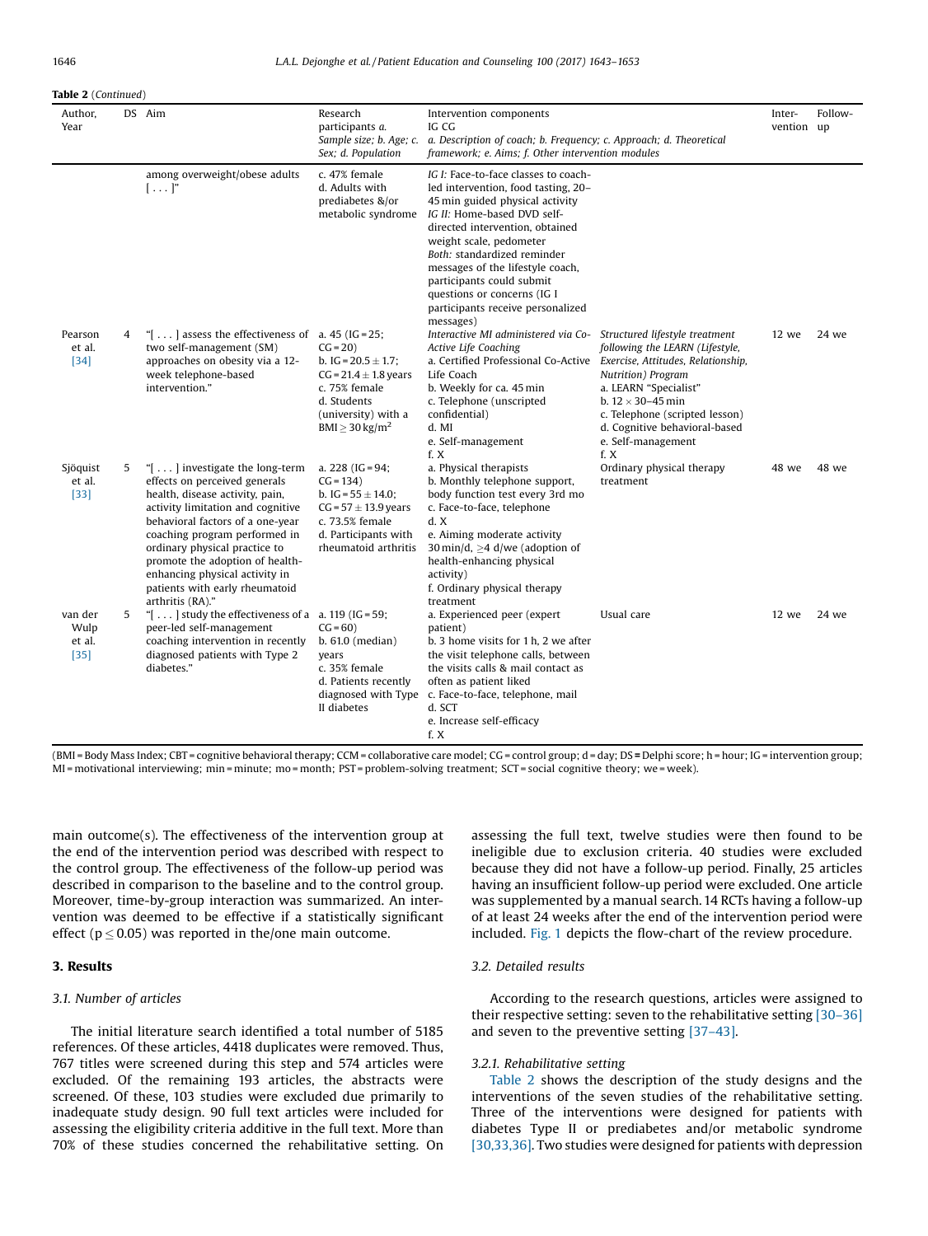#### Table 2 (Continued)

| Author,<br>Year                     |   | DS Aim                                                                                                                                                                                                                                                                                                                                                                                        | Research<br>participants a.<br>Sample size; b. Age; c.<br>Sex; d. Population                                                                                 | Intervention components<br>IG CG<br>a. Description of coach; b. Frequency; c. Approach; d. Theoretical<br>framework; e. Aims; f. Other intervention modules                                                                                                                                                                                                                                  |                                                                                                                                                                                                                                                                                       | Inter-<br>vention up | Follow- |
|-------------------------------------|---|-----------------------------------------------------------------------------------------------------------------------------------------------------------------------------------------------------------------------------------------------------------------------------------------------------------------------------------------------------------------------------------------------|--------------------------------------------------------------------------------------------------------------------------------------------------------------|----------------------------------------------------------------------------------------------------------------------------------------------------------------------------------------------------------------------------------------------------------------------------------------------------------------------------------------------------------------------------------------------|---------------------------------------------------------------------------------------------------------------------------------------------------------------------------------------------------------------------------------------------------------------------------------------|----------------------|---------|
|                                     |   | among overweight/obese adults<br>$[\ldots]$ "                                                                                                                                                                                                                                                                                                                                                 | c. 47% female<br>d. Adults with<br>prediabetes &/or<br>metabolic syndrome                                                                                    | IG I: Face-to-face classes to coach-<br>led intervention, food tasting, 20–<br>45 min guided physical activity<br>IG II: Home-based DVD self-<br>directed intervention, obtained<br>weight scale, pedometer<br>Both: standardized reminder<br>messages of the lifestyle coach,<br>participants could submit<br>questions or concerns (IG I<br>participants receive personalized<br>messages) |                                                                                                                                                                                                                                                                                       |                      |         |
| Pearson<br>et al.<br>$[34]$         | 4 | " $\left[ \ldots \right]$ assess the effectiveness of a. 45 (IG = 25;<br>two self-management (SM)<br>approaches on obesity via a 12-<br>week telephone-based<br>intervention."                                                                                                                                                                                                                | $CG = 20$<br>b. IG = $20.5 \pm 1.7$ ;<br>$CG = 21.4 \pm 1.8$ years<br>c. 75% female<br>d. Students<br>(university) with a<br>$BMI \geq 30$ kg/m <sup>2</sup> | Interactive MI administered via Co-<br>Active Life Coaching<br>a. Certified Professional Co-Active<br>Life Coach<br>b. Weekly for ca. 45 min<br>c. Telephone (unscripted<br>confidential)<br>d. MI<br>e. Self-management<br>f. X                                                                                                                                                             | Structured lifestyle treatment<br>following the LEARN (Lifestyle,<br>Exercise, Attitudes, Relationship,<br>Nutrition) Program<br>a. LEARN "Specialist"<br>b. $12 \times 30 - 45$ min<br>c. Telephone (scripted lesson)<br>d. Cognitive behavioral-based<br>e. Self-management<br>f. X | 12 we                | 24 we   |
| Sjöquist<br>et al.<br>$[33]$        | 5 | " $\left[ \ldots \right]$ investigate the long-term<br>effects on perceived generals<br>health, disease activity, pain,<br>activity limitation and cognitive<br>behavioral factors of a one-year<br>coaching program performed in<br>ordinary physical practice to<br>promote the adoption of health-<br>enhancing physical activity in<br>patients with early rheumatoid<br>arthritis (RA)." | a. $228$ (IG = 94;<br>$CG = 134)$<br>b. IG = $55 \pm 14.0$ ;<br>$CG = 57 \pm 13.9$ years<br>c. 73.5% female<br>d. Participants with<br>rheumatoid arthritis  | a. Physical therapists<br>b. Monthly telephone support,<br>body function test every 3rd mo<br>c. Face-to-face, telephone<br>d. X<br>e. Aiming moderate activity<br>30 min/d, $\geq$ 4 d/we (adoption of<br>health-enhancing physical<br>activity)<br>f. Ordinary physical therapy<br>treatment                                                                                               | Ordinary physical therapy<br>treatment                                                                                                                                                                                                                                                | 48 we                | 48 we   |
| van der<br>Wulp<br>et al.<br>$[35]$ | 5 | " $\left[ \ldots \right]$ study the effectiveness of a a. 119 (IG = 59;<br>peer-led self-management<br>coaching intervention in recently<br>diagnosed patients with Type 2<br>diabetes."                                                                                                                                                                                                      | $CG = 60$<br>$b. 61.0$ (median)<br>vears<br>c. 35% female<br>d. Patients recently<br>diagnosed with Type<br>II diabetes                                      | a. Experienced peer (expert<br>patient)<br>b. 3 home visits for 1 h, 2 we after<br>the visit telephone calls, between<br>the visits calls & mail contact as<br>often as patient liked<br>c. Face-to-face, telephone, mail<br>d. SCT<br>e. Increase self-efficacy<br>f. X                                                                                                                     | Usual care                                                                                                                                                                                                                                                                            | 12 we                | 24 we   |

(BMI = Body Mass Index; CBT = cognitive behavioral therapy; CCM = collaborative care model; CG = control group; d = day; DS = Delphi score; h = hour; IG = intervention group; MI = motivational interviewing; min = minute; mo = month; PST = problem-solving treatment; SCT = social cognitive theory; we = week).

main outcome(s). The effectiveness of the intervention group at the end of the intervention period was described with respect to the control group. The effectiveness of the follow-up period was described in comparison to the baseline and to the control group. Moreover, time-by-group interaction was summarized. An intervention was deemed to be effective if a statistically significant effect ( $p \le 0.05$ ) was reported in the/one main outcome.

## 3. Results

## 3.1. Number of articles

The initial literature search identified a total number of 5185 references. Of these articles, 4418 duplicates were removed. Thus, 767 titles were screened during this step and 574 articles were excluded. Of the remaining 193 articles, the abstracts were screened. Of these, 103 studies were excluded due primarily to inadequate study design. 90 full text articles were included for assessing the eligibility criteria additive in the full text. More than 70% of these studies concerned the rehabilitative setting. On

assessing the full text, twelve studies were then found to be ineligible due to exclusion criteria. 40 studies were excluded because they did not have a follow-up period. Finally, 25 articles having an insufficient follow-up period were excluded. One article was supplemented by a manual search.14 RCTs having a follow-up of at least 24 weeks after the end of the intervention period were included. [Fig.](#page-6-0) 1 depicts the flow-chart of the review procedure.

## 3.2. Detailed results

According to the research questions, articles were assigned to their respective setting: seven to the rehabilitative setting [30–[36\]](#page-9-0) and seven to the preventive setting [37–[43\]](#page-9-0).

#### 3.2.1. Rehabilitative setting

[Table](#page-2-0) 2 shows the description of the study designs and the interventions of the seven studies of the rehabilitative setting. Three of the interventions were designed for patients with diabetes Type II or prediabetes and/or metabolic syndrome [\[30,33,36\]](#page-9-0). Two studies were designed for patients with depression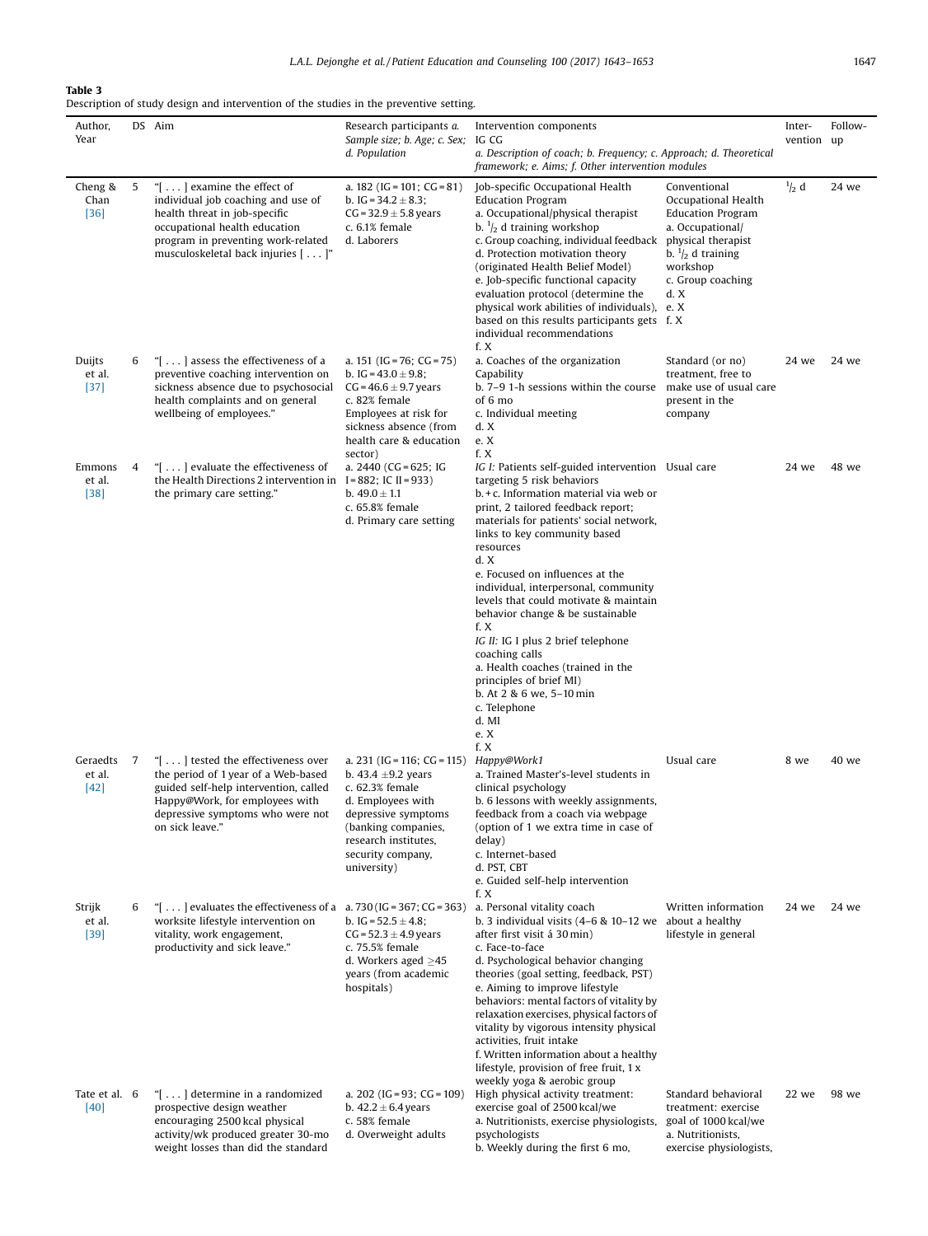## <span id="page-4-0"></span>Table 3

Description of study design and intervention of the studies in the preventive setting.

| Author,                      |    | DS Aim                                                                                                                                                                                                                  | Research participants a.                                                                                                                                                                                 | Intervention components                                                                                                                                                                                                                                                                                                                                                                                                                                                                                                                                                                                                  |                                                                                                                                                                                   | Inter-        | Follow- |
|------------------------------|----|-------------------------------------------------------------------------------------------------------------------------------------------------------------------------------------------------------------------------|----------------------------------------------------------------------------------------------------------------------------------------------------------------------------------------------------------|--------------------------------------------------------------------------------------------------------------------------------------------------------------------------------------------------------------------------------------------------------------------------------------------------------------------------------------------------------------------------------------------------------------------------------------------------------------------------------------------------------------------------------------------------------------------------------------------------------------------------|-----------------------------------------------------------------------------------------------------------------------------------------------------------------------------------|---------------|---------|
| Year                         |    |                                                                                                                                                                                                                         | Sample size; b. Age; c. Sex;<br>d. Population                                                                                                                                                            | IG CG<br>a. Description of coach; b. Frequency; c. Approach; d. Theoretical<br>framework; e. Aims; f. Other intervention modules                                                                                                                                                                                                                                                                                                                                                                                                                                                                                         |                                                                                                                                                                                   | vention up    |         |
| Cheng &<br>Chan<br>$[36]$    | 5  | " $[ \ldots ]$ examine the effect of<br>individual job coaching and use of<br>health threat in job-specific<br>occupational health education<br>program in preventing work-related<br>musculoskeletal back injuries []" | a. $182$ (IG = 101; CG = 81)<br>b. IG = $34.2 \pm 8.3$ ;<br>$CG = 32.9 \pm 5.8$ years<br>$c. 6.1%$ female<br>d. Laborers                                                                                 | Job-specific Occupational Health<br><b>Education Program</b><br>a. Occupational/physical therapist<br>b. $\frac{1}{2}$ d training workshop<br>c. Group coaching, individual feedback<br>d. Protection motivation theory<br>(originated Health Belief Model)<br>e. Job-specific functional capacity<br>evaluation protocol (determine the<br>physical work abilities of individuals), e. X<br>based on this results participants gets f. X<br>individual recommendations<br>f. X                                                                                                                                          | Conventional<br>Occupational Health<br><b>Education Program</b><br>a. Occupational/<br>physical therapist<br>b. $\frac{1}{2}$ d training<br>workshop<br>c. Group coaching<br>d. X | $^{1}/_{2}$ d | 24 we   |
| Duijts<br>et al.<br>$[37]$   | 6  | "[ $\dots$ ] assess the effectiveness of a<br>preventive coaching intervention on<br>sickness absence due to psychosocial<br>health complaints and on general<br>wellbeing of employees."                               | a. 151 (IG = 76; CG = 75)<br>b. IG = $43.0 \pm 9.8$ ;<br>$CG = 46.6 \pm 9.7$ years<br>c. 82% female<br>Employees at risk for<br>sickness absence (from<br>health care & education<br>sector)             | a. Coaches of the organization<br>Capability<br>b. 7-9 1-h sessions within the course<br>of 6 mo<br>c. Individual meeting<br>d. X<br>e. X<br>f. X                                                                                                                                                                                                                                                                                                                                                                                                                                                                        | Standard (or no)<br>treatment, free to<br>make use of usual care<br>present in the<br>company                                                                                     | 24 we         | 24 we   |
| Emmons<br>et al.<br>$[38]$   | 4  | "[ $\dots$ ] evaluate the effectiveness of<br>the Health Directions 2 intervention in<br>the primary care setting."                                                                                                     | a. $2440$ (CG = 625; IG<br>$I = 882$ ; IC II = 933)<br>b. $49.0 \pm 1.1$<br>c. 65.8% female<br>d. Primary care setting                                                                                   | IG I: Patients self-guided intervention Usual care<br>targeting 5 risk behaviors<br>$b + c$ . Information material via web or<br>print, 2 tailored feedback report;<br>materials for patients' social network,<br>links to key community based<br>resources<br>d. X<br>e. Focused on influences at the<br>individual, interpersonal, community<br>levels that could motivate & maintain<br>behavior change & be sustainable<br>f. X<br>IG II: IG I plus 2 brief telephone<br>coaching calls<br>a. Health coaches (trained in the<br>principles of brief MI)<br>b. At 2 & 6 we, 5-10 min<br>c. Telephone<br>d. MI<br>e. X |                                                                                                                                                                                   | 24 we         | 48 we   |
| Geraedts<br>et al.<br>$[42]$ | -7 | "[] tested the effectiveness over<br>the period of 1 year of a Web-based<br>guided self-help intervention, called<br>Happy@Work, for employees with<br>depressive symptoms who were not<br>on sick leave."              | a. 231 (IG = 116; CG = 115)<br>b. 43.4 $\pm$ 9.2 years<br>c. 62.3% female<br>d. Employees with<br>depressive symptoms<br>(banking companies,<br>research institutes,<br>security company,<br>university) | f. X<br>Happy@Work1<br>a. Trained Master's-level students in<br>clinical psychology<br>b. 6 lessons with weekly assignments,<br>feedback from a coach via webpage<br>(option of 1 we extra time in case of<br>delay)<br>c. Internet-based<br>d. PST, CBT<br>e. Guided self-help intervention<br>f. X                                                                                                                                                                                                                                                                                                                     | Usual care                                                                                                                                                                        | 8 we          | 40 we   |
| Strijk<br>et al.<br>$[39]$   | 6  | " $\left[ \ldots \right]$ evaluates the effectiveness of a = a. 730 (IG = 367; CG = 363)<br>worksite lifestyle intervention on<br>vitality, work engagement,<br>productivity and sick leave."                           | b. IG = $52.5 \pm 4.8$ ;<br>$CG = 52.3 \pm 4.9$ years<br>c. 75.5% female<br>d. Workers aged $\geq$ 45<br>years (from academic<br>hospitals)                                                              | a. Personal vitality coach<br>b. 3 individual visits $(4-6 \& 10-12$ we about a healthy<br>after first visit á 30 min)<br>c. Face-to-face<br>d. Psychological behavior changing<br>theories (goal setting, feedback, PST)<br>e. Aiming to improve lifestyle<br>behaviors: mental factors of vitality by<br>relaxation exercises, physical factors of<br>vitality by vigorous intensity physical<br>activities, fruit intake<br>f. Written information about a healthy<br>lifestyle, provision of free fruit, 1 x<br>weekly yoga & aerobic group                                                                          | Written information<br>lifestyle in general                                                                                                                                       | 24 we         | 24 we   |
| Tate et al. 6<br>$[40]$      |    | "[] determine in a randomized<br>prospective design weather<br>encouraging 2500 kcal physical<br>activity/wk produced greater 30-mo<br>weight losses than did the standard                                              | a. 202 (IG = 93; CG = 109)<br>b. $42.2 \pm 6.4$ years<br>c. 58% female<br>d. Overweight adults                                                                                                           | High physical activity treatment:<br>exercise goal of 2500 kcal/we<br>a. Nutritionists, exercise physiologists,<br>psychologists<br>b. Weekly during the first 6 mo,                                                                                                                                                                                                                                                                                                                                                                                                                                                     | Standard behavioral<br>treatment: exercise<br>goal of 1000 kcal/we<br>a. Nutritionists,<br>exercise physiologists,                                                                | 22 we         | 98 we   |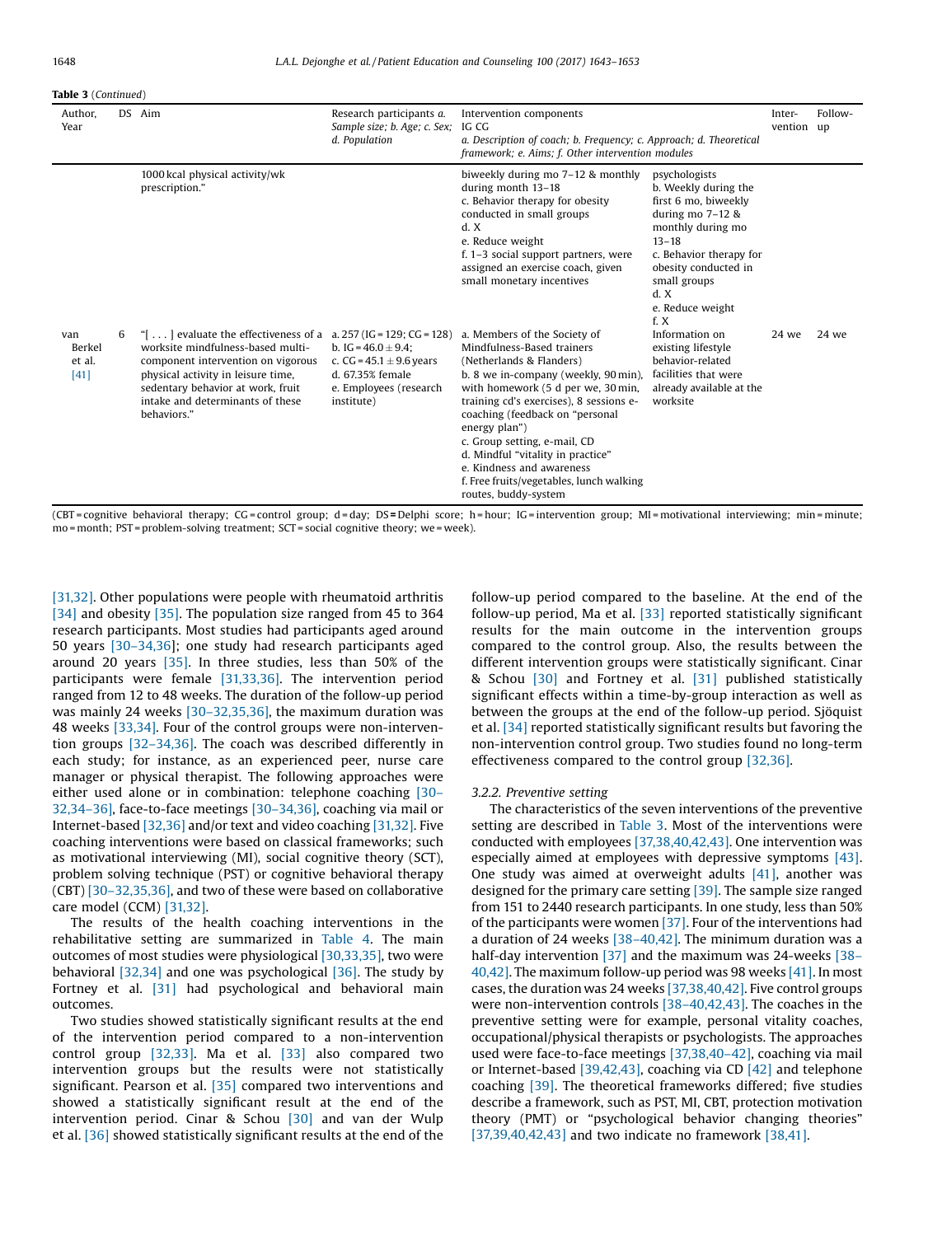#### Table 3 (Continued)

| Author.<br>Year                   |   | DS Aim                                                                                                                                                                                                                                                                                           | Research participants a.<br>Sample size; b. Age; c. Sex;<br>d. Population                                            | Intervention components<br>IG CG<br>a. Description of coach; b. Frequency; c. Approach; d. Theoretical<br>framework; e. Aims; f. Other intervention modules                                                                                                                                                                                                                                                                               |                                                                                                                                                                                                                              | Inter-<br>vention up | Follow- |
|-----------------------------------|---|--------------------------------------------------------------------------------------------------------------------------------------------------------------------------------------------------------------------------------------------------------------------------------------------------|----------------------------------------------------------------------------------------------------------------------|-------------------------------------------------------------------------------------------------------------------------------------------------------------------------------------------------------------------------------------------------------------------------------------------------------------------------------------------------------------------------------------------------------------------------------------------|------------------------------------------------------------------------------------------------------------------------------------------------------------------------------------------------------------------------------|----------------------|---------|
|                                   |   | 1000 kcal physical activity/wk<br>prescription."                                                                                                                                                                                                                                                 |                                                                                                                      | biweekly during mo 7-12 & monthly<br>during month 13-18<br>c. Behavior therapy for obesity<br>conducted in small groups<br>d. X<br>e. Reduce weight<br>f. 1-3 social support partners, were<br>assigned an exercise coach, given<br>small monetary incentives                                                                                                                                                                             | psychologists<br>b. Weekly during the<br>first 6 mo, biweekly<br>during mo $7-12$ &<br>monthly during mo<br>$13 - 18$<br>c. Behavior therapy for<br>obesity conducted in<br>small groups<br>d. X<br>e. Reduce weight<br>f. X |                      |         |
| van<br>Berkel<br>et al.<br>$[41]$ | 6 | " $\left[ \ldots \right]$ evaluate the effectiveness of a = a, 257 (IG = 129; CG = 128)<br>worksite mindfulness-based multi-<br>component intervention on vigorous<br>physical activity in leisure time,<br>sedentary behavior at work, fruit<br>intake and determinants of these<br>behaviors." | b. IG = $46.0 \pm 9.4$ :<br>c. CG = $45.1 \pm 9.6$ years<br>d. 67.35% female<br>e. Employees (research<br>institute) | a. Members of the Society of<br>Mindfulness-Based trainers<br>(Netherlands & Flanders)<br>b. 8 we in-company (weekly, 90 min),<br>with homework (5 d per we, 30 min,<br>training cd's exercises), 8 sessions e-<br>coaching (feedback on "personal<br>energy plan")<br>c. Group setting, e-mail, CD<br>d. Mindful "vitality in practice"<br>e. Kindness and awareness<br>f. Free fruits/vegetables, lunch walking<br>routes, buddy-system | Information on<br>existing lifestyle<br>behavior-related<br>facilities that were<br>already available at the<br>worksite                                                                                                     | 24 we                | 24 we   |

(CBT = cognitive behavioral therapy; CG = control group; d = day; DS = Delphi score; h = hour; IG = intervention group; MI = motivational interviewing; min = minute; mo = month; PST = problem-solving treatment; SCT = social cognitive theory; we = week).

[\[31,32\].](#page-9-0) Other populations were people with rheumatoid arthritis [\[34\]](#page-9-0) and obesity [\[35\]](#page-9-0). The population size ranged from 45 to 364 research participants. Most studies had participants aged around 50 years [30–[34,36\]](#page-9-0); one study had research participants aged around 20 years [\[35\].](#page-9-0) In three studies, less than 50% of the participants were female [\[31,33,36\]](#page-9-0). The intervention period ranged from 12 to 48 weeks. The duration of the follow-up period was mainly 24 weeks [30–[32,35,36\],](#page-9-0) the maximum duration was 48 weeks [\[33,34\]](#page-9-0). Four of the control groups were non-intervention groups [32–[34,36\]](#page-9-0). The coach was described differently in each study; for instance, as an experienced peer, nurse care manager or physical therapist. The following approaches were either used alone or in combination: telephone coaching [\[30](#page-9-0)– [32,34](#page-9-0)–36], face-to-face meetings [30–[34,36\]](#page-9-0), coaching via mail or Internet-based [\[32,36\]](#page-9-0) and/or text and video coaching [\[31,32\].](#page-9-0) Five coaching interventions were based on classical frameworks; such as motivational interviewing (MI), social cognitive theory (SCT), problem solving technique (PST) or cognitive behavioral therapy (CBT) [30–[32,35,36\]](#page-9-0), and two of these were based on collaborative care model (CCM) [\[31,32\]](#page-9-0).

The results of the health coaching interventions in the rehabilitative setting are summarized in [Table](#page-7-0) 4. The main outcomes of most studies were physiological [\[30,33,35\],](#page-9-0) two were behavioral  $[32,34]$  and one was psychological  $[36]$ . The study by Fortney et al. [\[31\]](#page-9-0) had psychological and behavioral main outcomes.

Two studies showed statistically significant results at the end of the intervention period compared to a non-intervention control group [\[32,33\]](#page-9-0). Ma et al. [\[33\]](#page-9-0) also compared two intervention groups but the results were not statistically significant. Pearson et al. [\[35\]](#page-9-0) compared two interventions and showed a statistically significant result at the end of the intervention period. Cinar & Schou [\[30\]](#page-9-0) and van der Wulp et al. [\[36\]](#page-9-0) showed statistically significant results at the end of the follow-up period compared to the baseline. At the end of the follow-up period, Ma et al. [\[33\]](#page-9-0) reported statistically significant results for the main outcome in the intervention groups compared to the control group. Also, the results between the different intervention groups were statistically significant. Cinar & Schou [\[30\]](#page-9-0) and Fortney et al. [\[31\]](#page-9-0) published statistically significant effects within a time-by-group interaction as well as between the groups at the end of the follow-up period. Sjöquist et al. [\[34\]](#page-9-0) reported statistically significant results but favoring the non-intervention control group. Two studies found no long-term effectiveness compared to the control group [\[32,36\]](#page-9-0).

#### 3.2.2. Preventive setting

The characteristics of the seven interventions of the preventive setting are described in [Table](#page-4-0) 3. Most of the interventions were conducted with employees [\[37,38,40,42,43\]](#page-9-0). One intervention was especially aimed at employees with depressive symptoms [\[43\].](#page-10-0) One study was aimed at overweight adults [\[41\]](#page-10-0), another was designed for the primary care setting [\[39\]](#page-10-0). The sample size ranged from 151 to 2440 research participants. In one study, less than 50% of the participants were women [\[37\]](#page-9-0). Four of the interventions had a duration of 24 weeks [38–[40,42\]](#page-10-0). The minimum duration was a half-day intervention [\[37\]](#page-9-0) and the maximum was 24-weeks [\[38](#page-10-0)– [40,42\].](#page-10-0) The maximum follow-up period was 98 weeks [\[41\]](#page-10-0). In most cases, the duration was 24 weeks [\[37,38,40,42\].](#page-9-0) Five control groups were non-intervention controls [38–[40,42,43\]](#page-10-0). The coaches in the preventive setting were for example, personal vitality coaches, occupational/physical therapists or psychologists. The approaches used were face-to-face meetings [\[37,38,40](#page-9-0)–42], coaching via mail or Internet-based [\[39,42,43\]](#page-10-0), coaching via CD [\[42\]](#page-10-0) and telephone coaching [\[39\].](#page-10-0) The theoretical frameworks differed; five studies describe a framework, such as PST, MI, CBT, protection motivation theory (PMT) or "psychological behavior changing theories" [\[37,39,40,42,43\]](#page-9-0) and two indicate no framework [\[38,41\]](#page-10-0).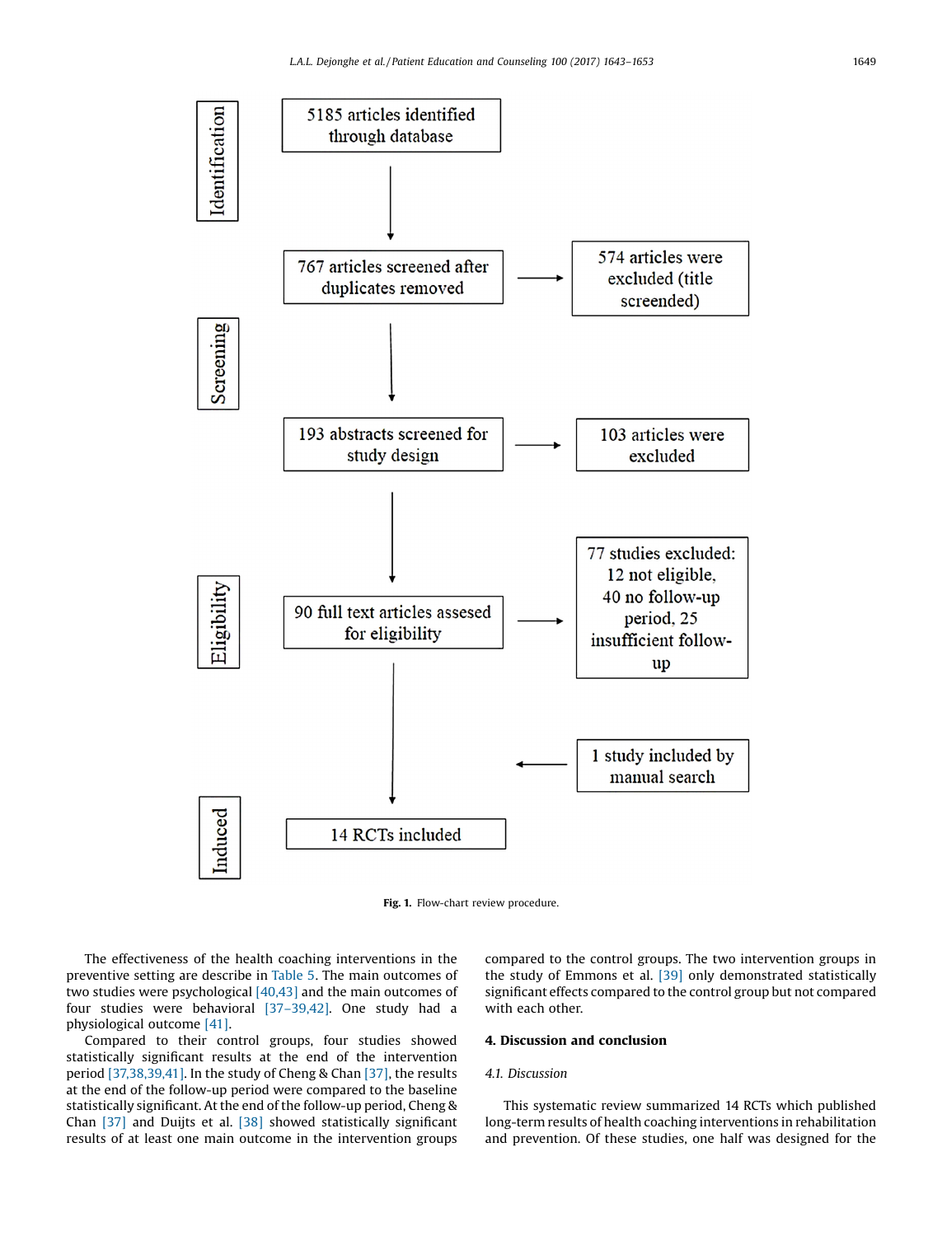<span id="page-6-0"></span>

Fig. 1. Flow-chart review procedure.

The effectiveness of the health coaching interventions in the preventive setting are describe in [Table](#page-7-0) 5. The main outcomes of two studies were psychological [\[40,43\]](#page-10-0) and the main outcomes of four studies were behavioral [37–[39,42\]](#page-9-0). One study had a physiological outcome [\[41\].](#page-10-0)

Compared to their control groups, four studies showed statistically significant results at the end of the intervention period [\[37,38,39,41\]](#page-9-0). In the study of Cheng & Chan [\[37\]](#page-9-0), the results at the end of the follow-up period were compared to the baseline statistically significant. At the end of the follow-up period, Cheng & Chan [\[37\]](#page-9-0) and Duijts et al. [\[38\]](#page-10-0) showed statistically significant results of at least one main outcome in the intervention groups compared to the control groups. The two intervention groups in the study of Emmons et al. [\[39\]](#page-10-0) only demonstrated statistically significant effects compared to the control group but not compared with each other.

## 4. Discussion and conclusion

#### 4.1. Discussion

This systematic review summarized 14 RCTs which published long-term results of health coaching interventions in rehabilitation and prevention. Of these studies, one half was designed for the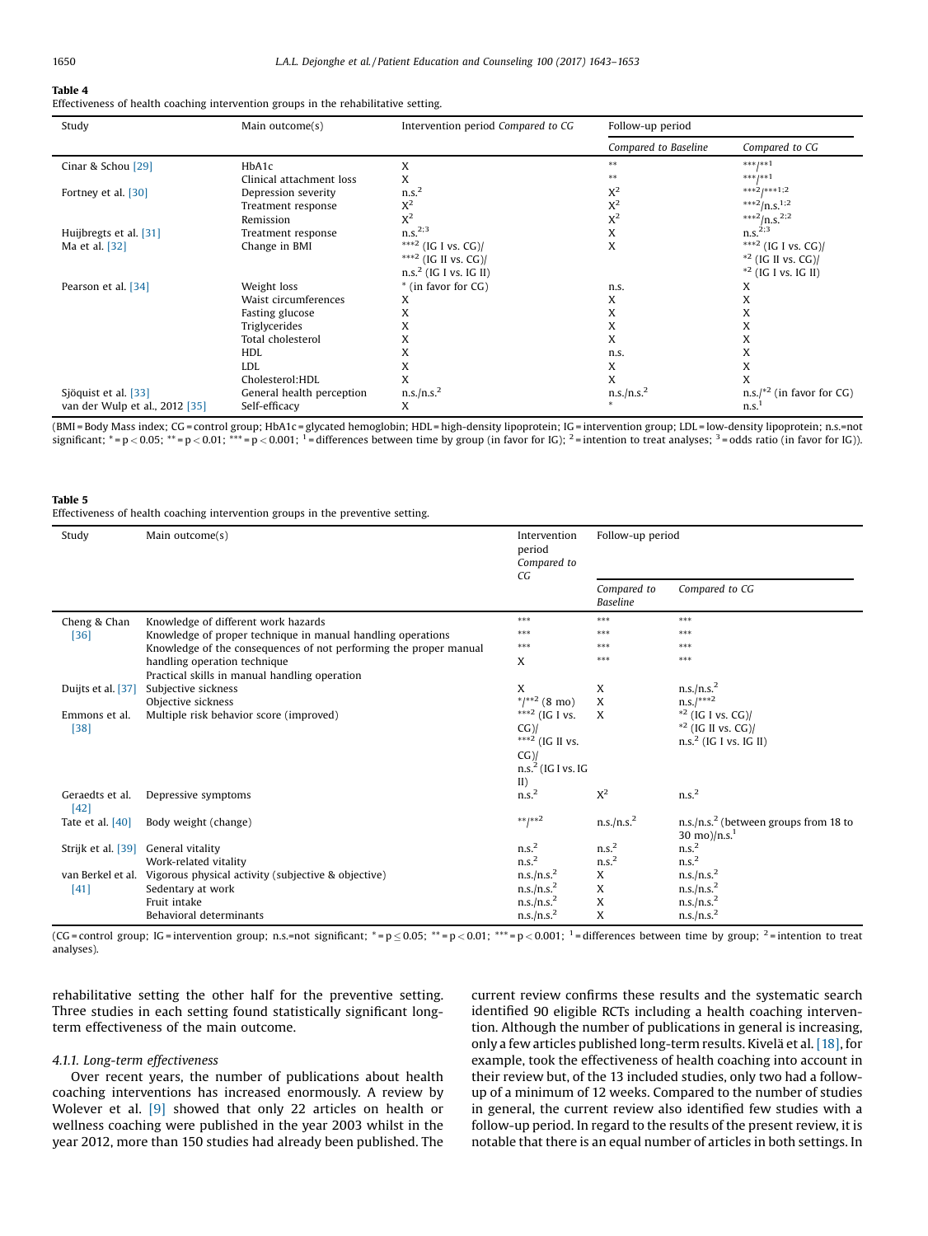## <span id="page-7-0"></span>Table 4

Effectiveness of health coaching intervention groups in the rehabilitative setting.

| Study                          | Main outcome(s)           | Intervention period Compared to CG | Follow-up period       |                                  |
|--------------------------------|---------------------------|------------------------------------|------------------------|----------------------------------|
|                                |                           |                                    | Compared to Baseline   | Compared to CG                   |
| Cinar & Schou [29]             | HbA1c                     | X                                  | $* *$                  | $***1**1$                        |
|                                | Clinical attachment loss  | X                                  |                        | $***1**1$                        |
| Fortney et al. [30]            | Depression severity       | n.s. <sup>2</sup>                  | $X^2$                  | $***21***1;2$                    |
|                                | Treatment response        | $X^2$                              | $X^2$                  | *** $^2/n.s.^{1,2}$              |
|                                | Remission                 | $X^2$                              | $X^2$                  | ***2/n.s. <sup>2;2</sup>         |
| Huijbregts et al. [31]         | Treatment response        | n.S. <sup>2,3</sup>                | X                      | n.s. <sup>2,3</sup>              |
| Ma et al. [32]                 | Change in BMI             | ***2 (IG I vs. CG)/                | X                      | ***2 (IG I vs. CG)/              |
|                                |                           | ***2 (IG II vs. CG)/               |                        | $*$ <sup>2</sup> (IG II vs. CG)/ |
|                                |                           | $n.s.2$ (IG I vs. IG II)           |                        | $*^2$ (IG I vs. IG II)           |
| Pearson et al. [34]            | Weight loss               | * (in favor for CG)                | n.s.                   | X                                |
|                                | Waist circumferences      | X                                  | X                      | X                                |
|                                | Fasting glucose           | X                                  | X                      | X                                |
|                                | Triglycerides             | X                                  | X                      | X                                |
|                                | Total cholesterol         | X                                  | X                      | X                                |
|                                | <b>HDL</b>                | X                                  | n.s.                   | X                                |
|                                | <b>LDL</b>                | X                                  | X                      | X                                |
|                                | Cholesterol:HDL           | X                                  | X                      | X                                |
| Sjöquist et al. [33]           | General health perception | n.s./n.s. <sup>2</sup>             | n.s./n.s. <sup>2</sup> | $n.s.'^{*2}$ (in favor for CG)   |
| van der Wulp et al., 2012 [35] | Self-efficacy             | X                                  |                        | n.s.                             |

(BMI = Body Mass index; CG = control group; HbA1c = glycated hemoglobin; HDL = high-density lipoprotein; IG = intervention group; LDL = low-density lipoprotein; n.s.=not significant; \*= p < 0.05; \*\*= p < 0.01; \*\*\* = p < 0.001; <sup>1</sup> = differences between time by group (in favor for IG); <sup>2</sup> = intention to treat analyses; <sup>3</sup> = odds ratio (in favor for IG)).

## Table 5

Effectiveness of health coaching intervention groups in the preventive setting.

| Study                   | Main outcome(s)                                                       | Intervention<br>period<br>Compared to<br>CG | Follow-up period               |                                                   |
|-------------------------|-----------------------------------------------------------------------|---------------------------------------------|--------------------------------|---------------------------------------------------|
|                         |                                                                       |                                             | Compared to<br><b>Baseline</b> | Compared to CG                                    |
| Cheng & Chan            | Knowledge of different work hazards                                   | ***                                         | ***                            | ***                                               |
| $[36]$                  | Knowledge of proper technique in manual handling operations           | ***                                         | ***                            | ***                                               |
|                         | Knowledge of the consequences of not performing the proper manual     | $***$                                       | ***                            | ***                                               |
|                         | handling operation technique                                          | X                                           | ***                            | ***                                               |
|                         | Practical skills in manual handling operation                         |                                             |                                |                                                   |
| Duijts et al. [37]      | Subjective sickness                                                   | X                                           | X                              | n.s./n.s. <sup>2</sup>                            |
|                         | Objective sickness                                                    | $*$ /** <sup>2</sup> (8 mo)                 | X                              | $n.s.$ /***2                                      |
| Emmons et al.           | Multiple risk behavior score (improved)                               | *** <sup>2</sup> (IG I vs.                  | X                              | $*^{2}$ (IG I vs. CG)/                            |
| $[38]$                  |                                                                       | $CG$ )/                                     |                                | $*$ <sup>2</sup> (IG II vs. CG)/                  |
|                         |                                                                       | *** <sup>2</sup> (IG II vs.                 |                                | $n.s.2$ (IG I vs. IG II)                          |
|                         |                                                                       | $CG$ )/                                     |                                |                                                   |
|                         |                                                                       | $n.s.2$ (IG I vs. IG                        |                                |                                                   |
|                         |                                                                       | II)                                         |                                |                                                   |
| Geraedts et al.<br>[42] | Depressive symptoms                                                   | n.s. <sup>2</sup>                           | $X^2$                          | n.s. <sup>2</sup>                                 |
| Tate et al. $[40]$      | Body weight (change)                                                  | $***+*2$                                    | n.s./n.s. <sup>2</sup>         | n.s./n.s. <sup>2</sup> (between groups from 18 to |
|                         |                                                                       |                                             |                                | 30 mo)/n.s. <sup>1</sup>                          |
| Strijk et al. [39]      | General vitality                                                      | n.s. <sup>2</sup>                           | n.s. <sup>2</sup>              | n.s. <sup>2</sup>                                 |
|                         | Work-related vitality                                                 | n.s. <sup>2</sup>                           | n.s. <sup>2</sup>              | n.s. <sup>2</sup>                                 |
|                         | van Berkel et al. Vigorous physical activity (subjective & objective) | n.s./n.s. <sup>2</sup>                      | X                              | n.s./n.s. <sup>2</sup>                            |
| [41]                    | Sedentary at work                                                     | n.s./n.s. <sup>2</sup>                      | X                              | n.s./n.s. <sup>2</sup>                            |
|                         | Fruit intake                                                          | n.s./n.s. <sup>2</sup>                      | X                              | n.s./n.s. <sup>2</sup>                            |
|                         | Behavioral determinants                                               | n.s./n.s. <sup>2</sup>                      | X                              | n.s./n.s. <sup>2</sup>                            |

(CG = control group; IG = intervention group; n.s.=not significant; \* =  $p \le 0.05$ ; \*\* =  $p < 0.01$ ; \*\*\* =  $p < 0.001$ ; \*\*\* =  $p < 0.001$ ; \*\*\* =  $p < 0.001$ ; \*\*\* =  $p < 0.001$ ; \*\*\* =  $p < 0.001$ ; \*\*\* =  $p < 0.001$ ; \*\*\* =  $p < 0.0$ analyses).

rehabilitative setting the other half for the preventive setting. Three studies in each setting found statistically significant longterm effectiveness of the main outcome.

## 4.1.1. Long-term effectiveness

Over recent years, the number of publications about health coaching interventions has increased enormously. A review by Wolever et al. [\[9\]](#page-9-0) showed that only 22 articles on health or wellness coaching were published in the year 2003 whilst in the year 2012, more than 150 studies had already been published. The current review confirms these results and the systematic search identified 90 eligible RCTs including a health coaching intervention. Although the number of publications in general is increasing, only a few articles published long-term results. Kivelä et al. [\[18\]](#page-9-0), for example, took the effectiveness of health coaching into account in their review but, of the 13 included studies, only two had a followup of a minimum of 12 weeks. Compared to the number of studies in general, the current review also identified few studies with a follow-up period. In regard to the results of the present review, it is notable that there is an equal number of articles in both settings. In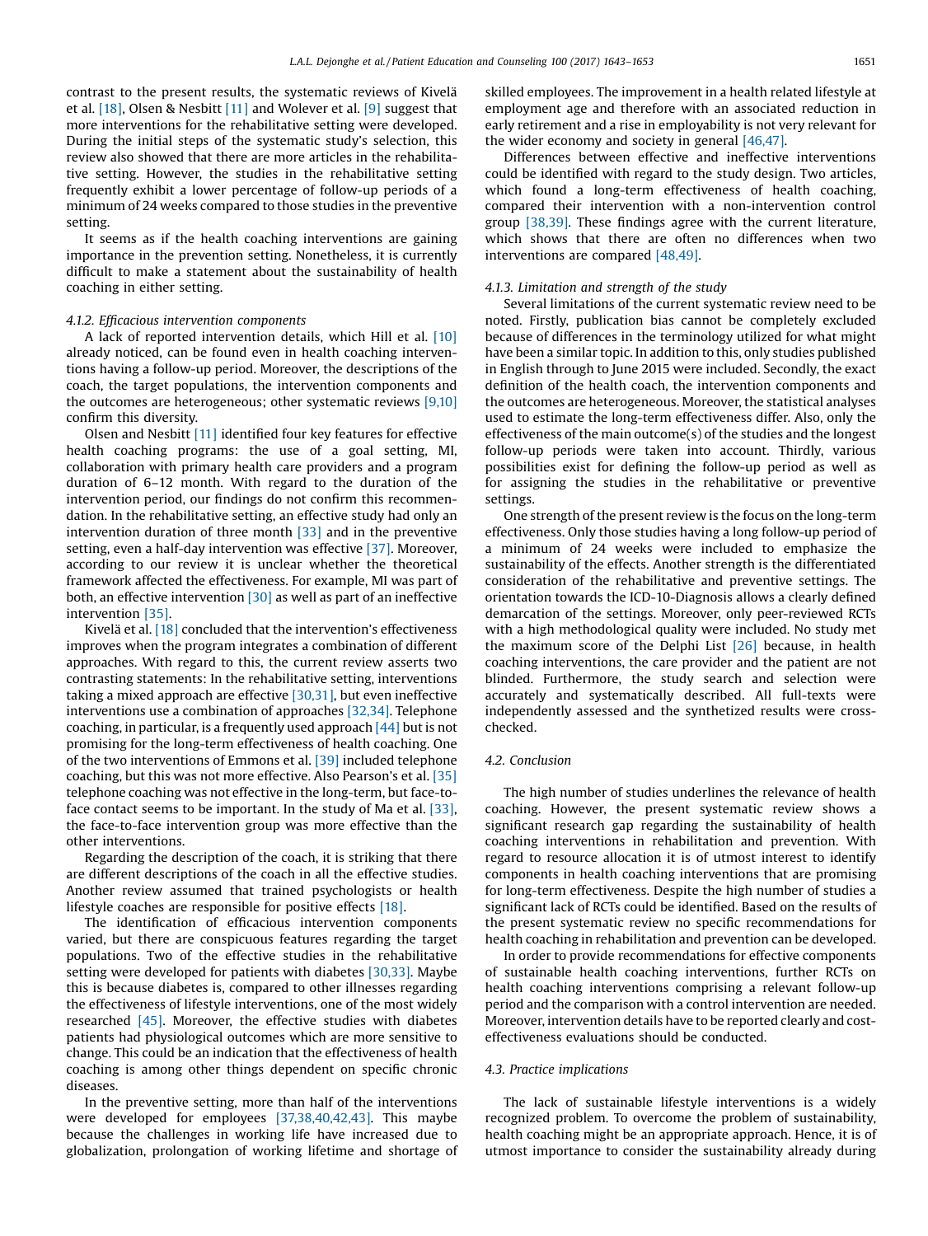contrast to the present results, the systematic reviews of Kivelä et al. [\[18\]](#page-9-0), Olsen & Nesbitt [\[11\]](#page-9-0) and Wolever et al. [\[9\]](#page-9-0) suggest that more interventions for the rehabilitative setting were developed. During the initial steps of the systematic study's selection, this review also showed that there are more articles in the rehabilitative setting. However, the studies in the rehabilitative setting frequently exhibit a lower percentage of follow-up periods of a minimum of 24 weeks compared to those studies in the preventive setting.

It seems as if the health coaching interventions are gaining importance in the prevention setting. Nonetheless, it is currently difficult to make a statement about the sustainability of health coaching in either setting.

#### 4.1.2. Efficacious intervention components

A lack of reported intervention details, which Hill et al. [\[10\]](#page-9-0) already noticed, can be found even in health coaching interventions having a follow-up period. Moreover, the descriptions of the coach, the target populations, the intervention components and the outcomes are heterogeneous; other systematic reviews [\[9,10\]](#page-9-0) confirm this diversity.

Olsen and Nesbitt [\[11\]](#page-9-0) identified four key features for effective health coaching programs: the use of a goal setting, MI, collaboration with primary health care providers and a program duration of 6–12 month. With regard to the duration of the intervention period, our findings do not confirm this recommendation. In the rehabilitative setting, an effective study had only an intervention duration of three month [\[33\]](#page-9-0) and in the preventive setting, even a half-day intervention was effective [\[37\].](#page-9-0) Moreover, according to our review it is unclear whether the theoretical framework affected the effectiveness. For example, MI was part of both, an effective intervention [\[30\]](#page-9-0) as well as part of an ineffective intervention [\[35\]](#page-9-0).

Kivelä et al. [\[18\]](#page-9-0) concluded that the intervention's effectiveness improves when the program integrates a combination of different approaches. With regard to this, the current review asserts two contrasting statements: In the rehabilitative setting, interventions taking a mixed approach are effective [\[30,31\]](#page-9-0), but even ineffective interventions use a combination of approaches [\[32,34\]](#page-9-0). Telephone coaching, in particular, is a frequently used approach  $[44]$  but is not promising for the long-term effectiveness of health coaching. One of the two interventions of Emmons et al. [\[39\]](#page-10-0) included telephone coaching, but this was not more effective. Also Pearson's et al. [\[35\]](#page-9-0) telephone coaching was not effective in the long-term, but face-toface contact seems to be important. In the study of Ma et al. [\[33\]](#page-9-0), the face-to-face intervention group was more effective than the other interventions.

Regarding the description of the coach, it is striking that there are different descriptions of the coach in all the effective studies. Another review assumed that trained psychologists or health lifestyle coaches are responsible for positive effects [\[18\]](#page-9-0).

The identification of efficacious intervention components varied, but there are conspicuous features regarding the target populations. Two of the effective studies in the rehabilitative setting were developed for patients with diabetes [\[30,33\]](#page-9-0). Maybe this is because diabetes is, compared to other illnesses regarding the effectiveness of lifestyle interventions, one of the most widely researched  $[45]$ . Moreover, the effective studies with diabetes patients had physiological outcomes which are more sensitive to change. This could be an indication that the effectiveness of health coaching is among other things dependent on specific chronic diseases.

In the preventive setting, more than half of the interventions were developed for employees [\[37,38,40,42,43\].](#page-9-0) This maybe because the challenges in working life have increased due to globalization, prolongation of working lifetime and shortage of skilled employees. The improvement in a health related lifestyle at employment age and therefore with an associated reduction in early retirement and a rise in employability is not very relevant for the wider economy and society in general [\[46,47\].](#page-10-0)

Differences between effective and ineffective interventions could be identified with regard to the study design. Two articles, which found a long-term effectiveness of health coaching, compared their intervention with a non-intervention control group [\[38,39\].](#page-10-0) These findings agree with the current literature, which shows that there are often no differences when two interventions are compared [\[48,49\]](#page-10-0).

#### 4.1.3. Limitation and strength of the study

Several limitations of the current systematic review need to be noted. Firstly, publication bias cannot be completely excluded because of differences in the terminology utilized for what might have been a similar topic. In addition to this, only studies published in English through to June 2015 were included. Secondly, the exact definition of the health coach, the intervention components and the outcomes are heterogeneous. Moreover, the statistical analyses used to estimate the long-term effectiveness differ. Also, only the effectiveness of the main outcome(s) of the studies and the longest follow-up periods were taken into account. Thirdly, various possibilities exist for defining the follow-up period as well as for assigning the studies in the rehabilitative or preventive settings.

One strength of the present review is the focus on the long-term effectiveness. Only those studies having a long follow-up period of a minimum of 24 weeks were included to emphasize the sustainability of the effects. Another strength is the differentiated consideration of the rehabilitative and preventive settings. The orientation towards the ICD-10-Diagnosis allows a clearly defined demarcation of the settings. Moreover, only peer-reviewed RCTs with a high methodological quality were included. No study met the maximum score of the Delphi List [\[26\]](#page-9-0) because, in health coaching interventions, the care provider and the patient are not blinded. Furthermore, the study search and selection were accurately and systematically described. All full-texts were independently assessed and the synthetized results were crosschecked.

#### 4.2. Conclusion

The high number of studies underlines the relevance of health coaching. However, the present systematic review shows a significant research gap regarding the sustainability of health coaching interventions in rehabilitation and prevention. With regard to resource allocation it is of utmost interest to identify components in health coaching interventions that are promising for long-term effectiveness. Despite the high number of studies a significant lack of RCTs could be identified. Based on the results of the present systematic review no specific recommendations for health coaching in rehabilitation and prevention can be developed.

In order to provide recommendations for effective components of sustainable health coaching interventions, further RCTs on health coaching interventions comprising a relevant follow-up period and the comparison with a control intervention are needed. Moreover, intervention details have to be reported clearly and costeffectiveness evaluations should be conducted.

#### 4.3. Practice implications

The lack of sustainable lifestyle interventions is a widely recognized problem. To overcome the problem of sustainability, health coaching might be an appropriate approach. Hence, it is of utmost importance to consider the sustainability already during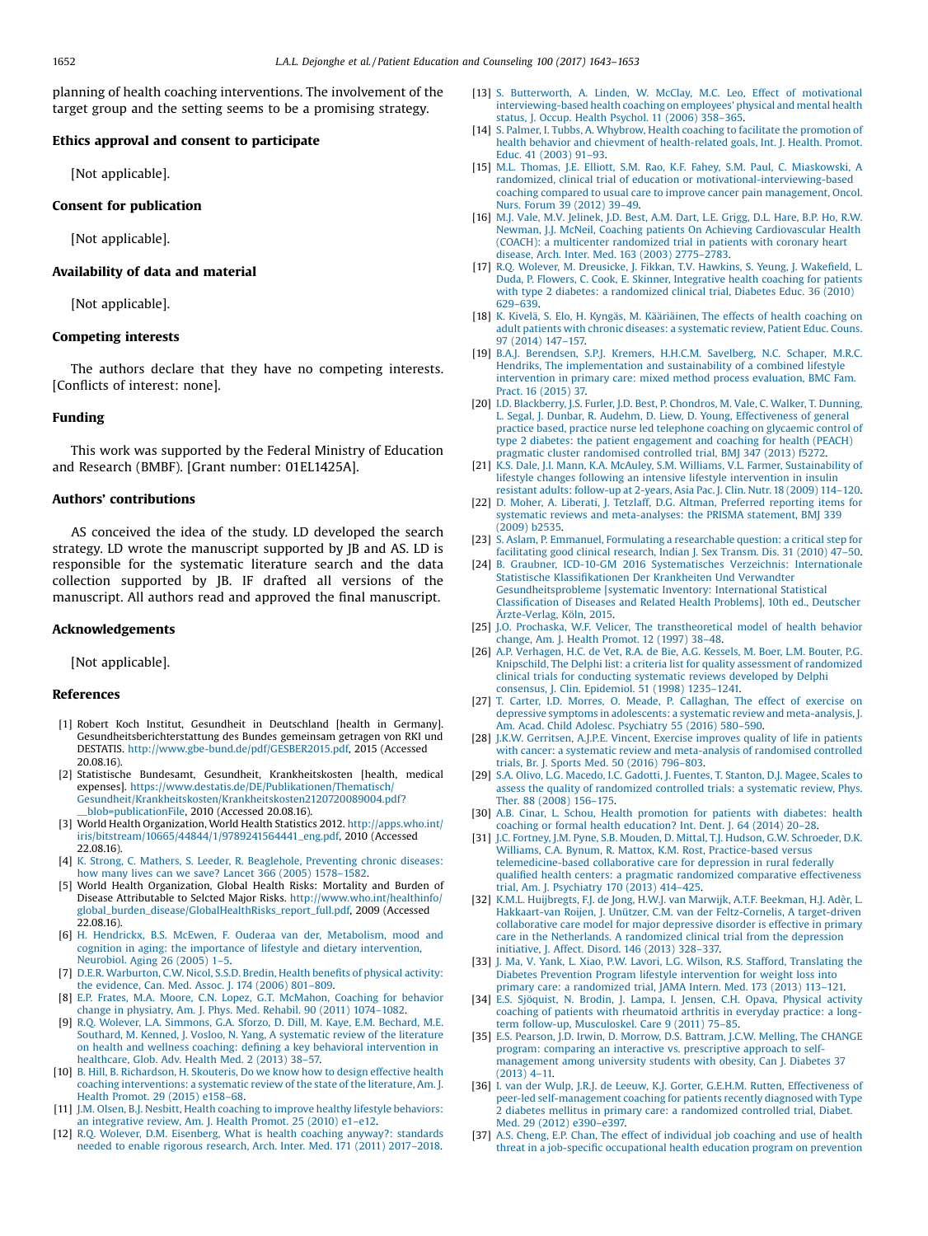<span id="page-9-0"></span>planning of health coaching interventions. The involvement of the target group and the setting seems to be a promising strategy.

### Ethics approval and consent to participate

[Not applicable].

#### Consent for publication

[Not applicable].

## Availability of data and material

[Not applicable].

## Competing interests

The authors declare that they have no competing interests. [Conflicts of interest: none].

## Funding

This work was supported by the Federal Ministry of Education and Research (BMBF). [Grant number: 01EL1425A].

## Authors' contributions

AS conceived the idea of the study. LD developed the search strategy. LD wrote the manuscript supported by JB and AS. LD is responsible for the systematic literature search and the data collection supported by JB. IF drafted all versions of the manuscript. All authors read and approved the final manuscript.

#### Acknowledgements

[Not applicable].

#### References

- [1] Robert Koch Institut, Gesundheit in Deutschland [health in Germany]. Gesundheitsberichterstattung des Bundes gemeinsam getragen von RKI und DESTATIS. [http://www.gbe-bund.de/pdf/GESBER2015.pdf,](http://www.gbe-bund.de/pdf/GESBER2015.pdf) 2015 (Accessed 20.08.16).
- [2] Statistische Bundesamt, Gesundheit, Krankheitskosten [health, medical expenses]. [https://www.destatis.de/DE/Publikationen/Thematisch/](https://www.destatis.de/DE/Publikationen/Thematisch/Gesundheit/Krankheitskosten/Krankheitskosten2120720089004.pdf?__blob=publicationFile) [Gesundheit/Krankheitskosten/Krankheitskosten2120720089004.pdf?](https://www.destatis.de/DE/Publikationen/Thematisch/Gesundheit/Krankheitskosten/Krankheitskosten2120720089004.pdf?__blob=publicationFile) [\\_\\_blob=publicationFile,](https://www.destatis.de/DE/Publikationen/Thematisch/Gesundheit/Krankheitskosten/Krankheitskosten2120720089004.pdf?__blob=publicationFile) 2010 (Accessed 20.08.16).
- [3] World Health Organization, World Health Statistics 2012. [http://apps.who.int/](http://apps.who.int/iris/bitstream/10665/44844/1/9789241564441_eng.pdf) [iris/bitstream/10665/44844/1/9789241564441\\_eng.pdf,](http://apps.who.int/iris/bitstream/10665/44844/1/9789241564441_eng.pdf) 2010 (Accessed 22.08.16).
- [4] K. Strong, C. Mathers, S. Leeder, R. [Beaglehole,](http://refhub.elsevier.com/S0738-3991(17)30246-X/sbref0020) Preventing chronic diseases: how many lives can we save? Lancet 366 [\(2005\)](http://refhub.elsevier.com/S0738-3991(17)30246-X/sbref0020) 1578–1582.
- [5] World Health Organization, Global Health Risks: Mortality and Burden of Disease Attributable to Selcted Major Risks. [http://www.who.int/healthinfo/](http://www.who.int/healthinfo/global_burden_disease/GlobalHealthRisks_report_full.pdf) [global\\_burden\\_disease/GlobalHealthRisks\\_report\\_full.pdf,](http://www.who.int/healthinfo/global_burden_disease/GlobalHealthRisks_report_full.pdf) 2009 (Accessed 22.08.16).
- [6] H. Hendrickx, B.S. McEwen, F. Ouderaa van der, [Metabolism,](http://refhub.elsevier.com/S0738-3991(17)30246-X/sbref0030) mood and cognition in aging: the importance of lifestyle and dietary [intervention,](http://refhub.elsevier.com/S0738-3991(17)30246-X/sbref0030) [Neurobiol.](http://refhub.elsevier.com/S0738-3991(17)30246-X/sbref0030) Aging 26 (2005) 1–5.
- [7] D.E.R. [Warburton,](http://refhub.elsevier.com/S0738-3991(17)30246-X/sbref0035) C.W. Nicol, S.S.D. Bredin, Health benefits of physical activity: the [evidence,](http://refhub.elsevier.com/S0738-3991(17)30246-X/sbref0035) Can. Med. Assoc. J. 174 (2006) 801–809.
- [8] E.P. Frates, M.A. Moore, C.N. Lopez, G.T. [McMahon,](http://refhub.elsevier.com/S0738-3991(17)30246-X/sbref0040) Coaching for behavior change in [physiatry,](http://refhub.elsevier.com/S0738-3991(17)30246-X/sbref0040) Am. J. Phys. Med. Rehabil. 90 (2011) 1074–1082.
- [9] R.Q. Wolever, L.A. [Simmons,](http://refhub.elsevier.com/S0738-3991(17)30246-X/sbref0045) G.A. Sforzo, D. Dill, M. Kaye, E.M. Bechard, M.E. Southard, M. Kenned, J. Vosloo, N. Yang, A [systematic](http://refhub.elsevier.com/S0738-3991(17)30246-X/sbref0045) review of the literature on health and wellness coaching: defining a key behavioral [intervention](http://refhub.elsevier.com/S0738-3991(17)30246-X/sbref0045) in [healthcare,](http://refhub.elsevier.com/S0738-3991(17)30246-X/sbref0045) Glob. Adv. Health Med. 2 (2013) 38–57.
- [10] B. Hill, B. [Richardson,](http://refhub.elsevier.com/S0738-3991(17)30246-X/sbref0050) H. Skouteris, Do we know how to design effective health coaching [interventions:](http://refhub.elsevier.com/S0738-3991(17)30246-X/sbref0050) a systematic review of the state of the literature, Am. J. Health [Promot.](http://refhub.elsevier.com/S0738-3991(17)30246-X/sbref0050) 29 (2015) e158–68.
- [11] J.M. Olsen, B.J. Nesbitt, Health coaching to improve healthy lifestyle [behaviors:](http://refhub.elsevier.com/S0738-3991(17)30246-X/sbref0055) an [integrative](http://refhub.elsevier.com/S0738-3991(17)30246-X/sbref0055) review, Am. J. Health Promot. 25 (2010) e1–e12.
- [12] R.Q. Wolever, D.M. [Eisenberg,](http://refhub.elsevier.com/S0738-3991(17)30246-X/sbref0060) What is health coaching anyway?: standards needed to enable rigorous [research,](http://refhub.elsevier.com/S0738-3991(17)30246-X/sbref0060) Arch. Inter. Med. 171 (2011) 2017–2018.
- [13] S. [Butterworth,](http://refhub.elsevier.com/S0738-3991(17)30246-X/sbref0065) A. Linden, W. McClay, M.C. Leo, Effect of motivational [interviewing-based](http://refhub.elsevier.com/S0738-3991(17)30246-X/sbref0065) health coaching on employees' physical and mental health status, J. Occup. Health [Psychol.](http://refhub.elsevier.com/S0738-3991(17)30246-X/sbref0065) 11 (2006) 358–365.
- [14] S. Palmer, I. Tubbs, A. Whybrow, Health coaching to facilitate the [promotion](http://refhub.elsevier.com/S0738-3991(17)30246-X/sbref0070) of health behavior and chievment of [health-related](http://refhub.elsevier.com/S0738-3991(17)30246-X/sbref0070) goals, Int. J. Health. Promot. Educ. 41 [\(2003\)](http://refhub.elsevier.com/S0738-3991(17)30246-X/sbref0070) 91–93.
- [15] M.L. Thomas, J.E. Elliott, S.M. Rao, K.F. Fahey, S.M. Paul, C. [Miaskowski,](http://refhub.elsevier.com/S0738-3991(17)30246-X/sbref0075) A randomized, clinical trial of education or [motivational-interviewing-based](http://refhub.elsevier.com/S0738-3991(17)30246-X/sbref0075) coaching compared to usual care to improve cancer pain [management,](http://refhub.elsevier.com/S0738-3991(17)30246-X/sbref0075) Oncol. Nurs. [Forum](http://refhub.elsevier.com/S0738-3991(17)30246-X/sbref0075) 39 (2012) 39–49.
- [16] M.J. Vale, M.V. [Jelinek,](http://refhub.elsevier.com/S0738-3991(17)30246-X/sbref0080) J.D. Best, A.M. Dart, L.E. Grigg, D.L. Hare, B.P. Ho, R.W. Newman, J.J. McNeil, Coaching patients On Achieving [Cardiovascular](http://refhub.elsevier.com/S0738-3991(17)30246-X/sbref0080) Health (COACH): a multicenter [randomized](http://refhub.elsevier.com/S0738-3991(17)30246-X/sbref0080) trial in patients with coronary heart [disease,](http://refhub.elsevier.com/S0738-3991(17)30246-X/sbref0080) Arch. Inter. Med. 163 (2003) 2775–2783.
- [17] R.Q. Wolever, M. [Dreusicke,](http://refhub.elsevier.com/S0738-3991(17)30246-X/sbref0085) J. Fikkan, T.V. Hawkins, S. Yeung, J. Wakefield, L. Duda, P. Flowers, C. Cook, E. Skinner, [Integrative](http://refhub.elsevier.com/S0738-3991(17)30246-X/sbref0085) health coaching for patients with type 2 diabetes: a [randomized](http://refhub.elsevier.com/S0738-3991(17)30246-X/sbref0085) clinical trial, Diabetes Educ. 36 (2010) 629–[639](http://refhub.elsevier.com/S0738-3991(17)30246-X/sbref0085).
- [18] K. Kivelä, S. Elo, H. Kyngäs, M. [Kääriäinen,](http://refhub.elsevier.com/S0738-3991(17)30246-X/sbref0090) The effects of health coaching on adult patients with chronic diseases: a [systematic](http://refhub.elsevier.com/S0738-3991(17)30246-X/sbref0090) review, Patient Educ. Couns. 97 [\(2014\)](http://refhub.elsevier.com/S0738-3991(17)30246-X/sbref0090) 147–157.
- [19] B.A.J. [Berendsen,](http://refhub.elsevier.com/S0738-3991(17)30246-X/sbref0095) S.P.J. Kremers, H.H.C.M. Savelberg, N.C. Schaper, M.R.C. Hendriks, The [implementation](http://refhub.elsevier.com/S0738-3991(17)30246-X/sbref0095) and sustainability of a combined lifestyle [intervention](http://refhub.elsevier.com/S0738-3991(17)30246-X/sbref0095) in primary care: mixed method process evaluation, BMC Fam. Pract. 16 [\(2015\)](http://refhub.elsevier.com/S0738-3991(17)30246-X/sbref0095) 37.
- [20] I.D. [Blackberry,](http://refhub.elsevier.com/S0738-3991(17)30246-X/sbref0100) J.S. Furler, J.D. Best, P. Chondros, M. Vale, C. Walker, T. Dunning, L. Segal, J. Dunbar, R. Audehm, D. Liew, D. Young, [Effectiveness](http://refhub.elsevier.com/S0738-3991(17)30246-X/sbref0100) of general practice based, practice nurse led [telephone](http://refhub.elsevier.com/S0738-3991(17)30246-X/sbref0100) coaching on glycaemic control of type 2 diabetes: the patient [engagement](http://refhub.elsevier.com/S0738-3991(17)30246-X/sbref0100) and coaching for health (PEACH) pragmatic cluster [randomised](http://refhub.elsevier.com/S0738-3991(17)30246-X/sbref0100) controlled trial, BMJ 347 (2013) f5272.
- [21] K.S. Dale, J.I. Mann, K.A. McAuley, S.M. Williams, V.L. Farmer, [Sustainability](http://refhub.elsevier.com/S0738-3991(17)30246-X/sbref0105) of lifestyle changes following an intensive lifestyle [intervention](http://refhub.elsevier.com/S0738-3991(17)30246-X/sbref0105) in insulin resistant adults: [follow-up](http://refhub.elsevier.com/S0738-3991(17)30246-X/sbref0105) at 2-years, Asia Pac. J. Clin. Nutr.18 (2009) 114–120.
- [22] D. Moher, A. Liberati, J. Tetzlaff, D.G. Altman, Preferred [reporting](http://refhub.elsevier.com/S0738-3991(17)30246-X/sbref0110) items for systematic reviews and [meta-analyses:](http://refhub.elsevier.com/S0738-3991(17)30246-X/sbref0110) the PRISMA statement, BMJ 339 [\(2009\)](http://refhub.elsevier.com/S0738-3991(17)30246-X/sbref0110) b2535.
- [23] S. Aslam, P. Emmanuel, Formulating a [researchable](http://refhub.elsevier.com/S0738-3991(17)30246-X/sbref0115) question: a critical step for [facilitating](http://refhub.elsevier.com/S0738-3991(17)30246-X/sbref0115) good clinical research, Indian J. Sex Transm. Dis. 31 (2010) 47–50.
- [24] B. Graubner, ICD-10-GM 2016 [Systematisches](http://refhub.elsevier.com/S0738-3991(17)30246-X/sbref0120) Verzeichnis: Internationale Statistische Klassifikationen Der [Krankheiten](http://refhub.elsevier.com/S0738-3991(17)30246-X/sbref0120) Und Verwandter [Gesundheitsprobleme](http://refhub.elsevier.com/S0738-3991(17)30246-X/sbref0120) [systematic Inventory: International Statistical Classification of Diseases and Related Health [Problems\],](http://refhub.elsevier.com/S0738-3991(17)30246-X/sbref0120) 10th ed., Deutscher [Ärzte-Verlag,](http://refhub.elsevier.com/S0738-3991(17)30246-X/sbref0120) Köln, 2015.
- [25] J.O. Prochaska, W.F. Velicer, The [transtheoretical](http://refhub.elsevier.com/S0738-3991(17)30246-X/sbref0125) model of health behavior change, Am. J. Health [Promot.](http://refhub.elsevier.com/S0738-3991(17)30246-X/sbref0125) 12 (1997) 38–48.
- [26] A.P. [Verhagen,](http://refhub.elsevier.com/S0738-3991(17)30246-X/sbref0130) H.C. de Vet, R.A. de Bie, A.G. Kessels, M. Boer, L.M. Bouter, P.G. Knipschild, The Delphi list: a criteria list for quality assessment of [randomized](http://refhub.elsevier.com/S0738-3991(17)30246-X/sbref0130) clinical trials for [conducting](http://refhub.elsevier.com/S0738-3991(17)30246-X/sbref0130) systematic reviews developed by Delphi consensus, J. Clin. [Epidemiol.](http://refhub.elsevier.com/S0738-3991(17)30246-X/sbref0130) 51 (1998) 1235–1241.
- [27] T. Carter, I.D. Morres, O. Meade, P. [Callaghan,](http://refhub.elsevier.com/S0738-3991(17)30246-X/sbref0135) The effect of exercise on depressive symptoms in adolescents: a systematic review and [meta-analysis,](http://refhub.elsevier.com/S0738-3991(17)30246-X/sbref0135) J. Am. Acad. Child Adolesc. [Psychiatry](http://refhub.elsevier.com/S0738-3991(17)30246-X/sbref0135) 55 (2016) 580–590.
- [28] J.K.W. [Gerritsen,](http://refhub.elsevier.com/S0738-3991(17)30246-X/sbref0140) A.J.P.E. Vincent, Exercise improves quality of life in patients with cancer: a systematic review and [meta-analysis](http://refhub.elsevier.com/S0738-3991(17)30246-X/sbref0140) of randomised controlled trials, Br. J. Sports Med. 50 [\(2016\)](http://refhub.elsevier.com/S0738-3991(17)30246-X/sbref0140) 796–803.
- [29] S.A. Olivo, L.G. [Macedo,](http://refhub.elsevier.com/S0738-3991(17)30246-X/sbref0145) I.C. Gadotti, J. Fuentes, T. Stanton, D.J. Magee, Scales to assess the quality of [randomized](http://refhub.elsevier.com/S0738-3991(17)30246-X/sbref0145) controlled trials: a systematic review, Phys. Ther. 88 [\(2008\)](http://refhub.elsevier.com/S0738-3991(17)30246-X/sbref0145) 156–175.
- [30] A.B. Cinar, L. Schou, Health [promotion](http://refhub.elsevier.com/S0738-3991(17)30246-X/sbref0150) for patients with diabetes: health coaching or formal health [education?](http://refhub.elsevier.com/S0738-3991(17)30246-X/sbref0150) Int. Dent. J. 64 (2014) 20–28.
- [31] J.C. Fortney, J.M. Pyne, S.B. Mouden, D. Mittal, T.J. Hudson, G.W. [Schroeder,](http://refhub.elsevier.com/S0738-3991(17)30246-X/sbref0155) D.K. Williams, C.A. Bynum, R. Mattox, K.M. Rost, [Practice-based](http://refhub.elsevier.com/S0738-3991(17)30246-X/sbref0155) versus [telemedicine-based](http://refhub.elsevier.com/S0738-3991(17)30246-X/sbref0155) collaborative care for depression in rural federally qualified health centers: a pragmatic randomized comparative [effectiveness](http://refhub.elsevier.com/S0738-3991(17)30246-X/sbref0155) trial, Am. J. [Psychiatry](http://refhub.elsevier.com/S0738-3991(17)30246-X/sbref0155) 170 (2013) 414–425.
- [32] K.M.L. [Huijbregts,](http://refhub.elsevier.com/S0738-3991(17)30246-X/sbref0160) F.J. de Jong, H.W.J. van Marwijk, A.T.F. Beekman, H.J. Adèr, L. Hakkaart-van Roijen, J. Unützer, C.M. van der [Feltz-Cornelis,](http://refhub.elsevier.com/S0738-3991(17)30246-X/sbref0160) A target-driven [collaborative](http://refhub.elsevier.com/S0738-3991(17)30246-X/sbref0160) care model for major depressive disorder is effective in primary care in the [Netherlands.](http://refhub.elsevier.com/S0738-3991(17)30246-X/sbref0160) A randomized clinical trial from the depression [initiative,](http://refhub.elsevier.com/S0738-3991(17)30246-X/sbref0160) J. Affect. Disord. 146 (2013) 328–337.
- [33] J. Ma, V. Yank, L. Xiao, P.W. Lavori, L.G. Wilson, R.S. Stafford, [Translating](http://refhub.elsevier.com/S0738-3991(17)30246-X/sbref0165) the Diabetes Prevention Program lifestyle [intervention](http://refhub.elsevier.com/S0738-3991(17)30246-X/sbref0165) for weight loss into primary care: a [randomized](http://refhub.elsevier.com/S0738-3991(17)30246-X/sbref0165) trial, JAMA Intern. Med. 173 (2013) 113–121.
- [34] E.S. [Sjöquist,](http://refhub.elsevier.com/S0738-3991(17)30246-X/sbref0170) N. Brodin, J. Lampa, I. Jensen, C.H. Opava, Physical activity coaching of patients with [rheumatoid](http://refhub.elsevier.com/S0738-3991(17)30246-X/sbref0170) arthritis in everyday practice: a longterm follow-up, [Musculoskel.](http://refhub.elsevier.com/S0738-3991(17)30246-X/sbref0170) Care 9 (2011) 75–85.
- [35] E.S. Pearson, J.D. Irwin, D. Morrow, D.S. Battram, J.C.W. Melling, The [CHANGE](http://refhub.elsevier.com/S0738-3991(17)30246-X/sbref0175) program: comparing an interactive vs. [prescriptive](http://refhub.elsevier.com/S0738-3991(17)30246-X/sbref0175) approach to self[management](http://refhub.elsevier.com/S0738-3991(17)30246-X/sbref0175) among university students with obesity, Can J. Diabetes 37 [\(2013\)](http://refhub.elsevier.com/S0738-3991(17)30246-X/sbref0175) 4–11.
- [36] I. van der Wulp, J.R.J. de Leeuw, K.J. Gorter, G.E.H.M. Rutten, [Effectiveness](http://refhub.elsevier.com/S0738-3991(17)30246-X/sbref0180) of peer-led [self-management](http://refhub.elsevier.com/S0738-3991(17)30246-X/sbref0180) coaching for patients recently diagnosed with Type 2 diabetes mellitus in primary care: a [randomized](http://refhub.elsevier.com/S0738-3991(17)30246-X/sbref0180) controlled trial, Diabet. Med. 29 [\(2012\)](http://refhub.elsevier.com/S0738-3991(17)30246-X/sbref0180) e390–e397.
- [37] A.S. Cheng, E.P. Chan, The effect of [individual](http://refhub.elsevier.com/S0738-3991(17)30246-X/sbref0185) job coaching and use of health threat in a job-specific [occupational](http://refhub.elsevier.com/S0738-3991(17)30246-X/sbref0185) health education program on prevention